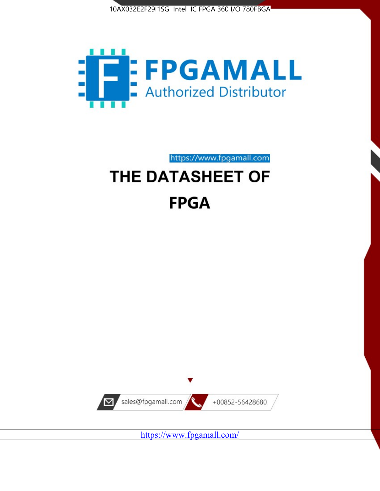



# https://www.fpgamall.com THE DATASHEET OF

# **FPGA**



<https://www.fpgamall.com/>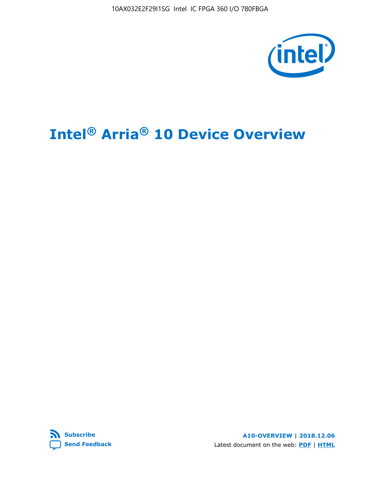10AX032E2F29I1SG Intel IC FPGA 360 I/O 780FBGA



# **Intel® Arria® 10 Device Overview**



**A10-OVERVIEW | 2018.12.06** Latest document on the web: **[PDF](https://www.intel.com/content/dam/www/programmable/us/en/pdfs/literature/hb/arria-10/a10_overview.pdf)** | **[HTML](https://www.intel.com/content/www/us/en/programmable/documentation/sam1403480274650.html)**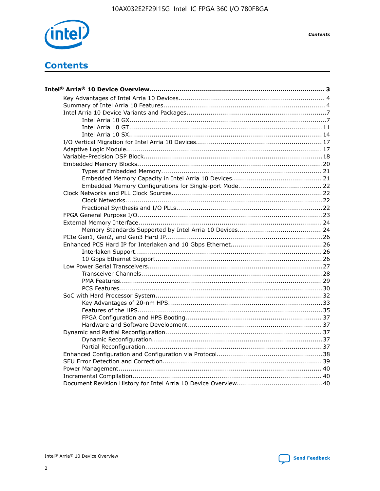

**Contents**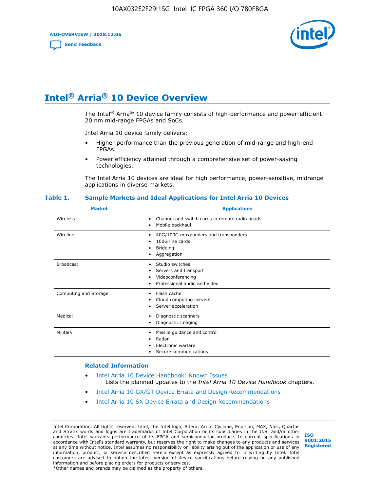**A10-OVERVIEW | 2018.12.06**

**[Send Feedback](mailto:FPGAtechdocfeedback@intel.com?subject=Feedback%20on%20Intel%20Arria%2010%20Device%20Overview%20(A10-OVERVIEW%202018.12.06)&body=We%20appreciate%20your%20feedback.%20In%20your%20comments,%20also%20specify%20the%20page%20number%20or%20paragraph.%20Thank%20you.)**



# **Intel® Arria® 10 Device Overview**

The Intel<sup>®</sup> Arria<sup>®</sup> 10 device family consists of high-performance and power-efficient 20 nm mid-range FPGAs and SoCs.

Intel Arria 10 device family delivers:

- Higher performance than the previous generation of mid-range and high-end FPGAs.
- Power efficiency attained through a comprehensive set of power-saving technologies.

The Intel Arria 10 devices are ideal for high performance, power-sensitive, midrange applications in diverse markets.

| <b>Market</b>         | <b>Applications</b>                                                                                               |
|-----------------------|-------------------------------------------------------------------------------------------------------------------|
| Wireless              | Channel and switch cards in remote radio heads<br>٠<br>Mobile backhaul<br>٠                                       |
| Wireline              | 40G/100G muxponders and transponders<br>٠<br>100G line cards<br>٠<br><b>Bridging</b><br>٠<br>Aggregation<br>٠     |
| <b>Broadcast</b>      | Studio switches<br>٠<br>Servers and transport<br>٠<br>Videoconferencing<br>٠<br>Professional audio and video<br>٠ |
| Computing and Storage | Flash cache<br>٠<br>Cloud computing servers<br>٠<br>Server acceleration<br>٠                                      |
| Medical               | Diagnostic scanners<br>٠<br>Diagnostic imaging<br>٠                                                               |
| Military              | Missile guidance and control<br>٠<br>Radar<br>٠<br>Electronic warfare<br>٠<br>Secure communications<br>٠          |

#### **Table 1. Sample Markets and Ideal Applications for Intel Arria 10 Devices**

#### **Related Information**

- [Intel Arria 10 Device Handbook: Known Issues](http://www.altera.com/support/kdb/solutions/rd07302013_646.html) Lists the planned updates to the *Intel Arria 10 Device Handbook* chapters.
- [Intel Arria 10 GX/GT Device Errata and Design Recommendations](https://www.intel.com/content/www/us/en/programmable/documentation/agz1493851706374.html#yqz1494433888646)
- [Intel Arria 10 SX Device Errata and Design Recommendations](https://www.intel.com/content/www/us/en/programmable/documentation/cru1462832385668.html#cru1462832558642)

Intel Corporation. All rights reserved. Intel, the Intel logo, Altera, Arria, Cyclone, Enpirion, MAX, Nios, Quartus and Stratix words and logos are trademarks of Intel Corporation or its subsidiaries in the U.S. and/or other countries. Intel warrants performance of its FPGA and semiconductor products to current specifications in accordance with Intel's standard warranty, but reserves the right to make changes to any products and services at any time without notice. Intel assumes no responsibility or liability arising out of the application or use of any information, product, or service described herein except as expressly agreed to in writing by Intel. Intel customers are advised to obtain the latest version of device specifications before relying on any published information and before placing orders for products or services. \*Other names and brands may be claimed as the property of others.

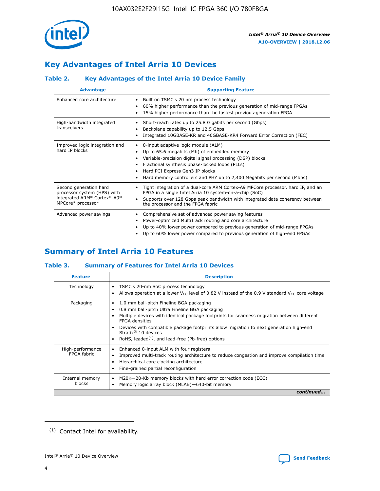

# **Key Advantages of Intel Arria 10 Devices**

# **Table 2. Key Advantages of the Intel Arria 10 Device Family**

| <b>Advantage</b>                                                                                          | <b>Supporting Feature</b>                                                                                                                                                                                                                                                                                                |
|-----------------------------------------------------------------------------------------------------------|--------------------------------------------------------------------------------------------------------------------------------------------------------------------------------------------------------------------------------------------------------------------------------------------------------------------------|
| Enhanced core architecture                                                                                | Built on TSMC's 20 nm process technology<br>٠<br>60% higher performance than the previous generation of mid-range FPGAs<br>٠<br>15% higher performance than the fastest previous-generation FPGA<br>٠                                                                                                                    |
| High-bandwidth integrated<br>transceivers                                                                 | Short-reach rates up to 25.8 Gigabits per second (Gbps)<br>٠<br>Backplane capability up to 12.5 Gbps<br>٠<br>Integrated 10GBASE-KR and 40GBASE-KR4 Forward Error Correction (FEC)<br>٠                                                                                                                                   |
| Improved logic integration and<br>hard IP blocks                                                          | 8-input adaptive logic module (ALM)<br>٠<br>Up to 65.6 megabits (Mb) of embedded memory<br>٠<br>Variable-precision digital signal processing (DSP) blocks<br>Fractional synthesis phase-locked loops (PLLs)<br>Hard PCI Express Gen3 IP blocks<br>Hard memory controllers and PHY up to 2,400 Megabits per second (Mbps) |
| Second generation hard<br>processor system (HPS) with<br>integrated ARM* Cortex*-A9*<br>MPCore* processor | Tight integration of a dual-core ARM Cortex-A9 MPCore processor, hard IP, and an<br>٠<br>FPGA in a single Intel Arria 10 system-on-a-chip (SoC)<br>Supports over 128 Gbps peak bandwidth with integrated data coherency between<br>$\bullet$<br>the processor and the FPGA fabric                                        |
| Advanced power savings                                                                                    | Comprehensive set of advanced power saving features<br>٠<br>Power-optimized MultiTrack routing and core architecture<br>٠<br>Up to 40% lower power compared to previous generation of mid-range FPGAs<br>٠<br>Up to 60% lower power compared to previous generation of high-end FPGAs<br>٠                               |

# **Summary of Intel Arria 10 Features**

## **Table 3. Summary of Features for Intel Arria 10 Devices**

| <b>Feature</b>                  | <b>Description</b>                                                                                                                                                                                                                                                                                                                                                                                       |
|---------------------------------|----------------------------------------------------------------------------------------------------------------------------------------------------------------------------------------------------------------------------------------------------------------------------------------------------------------------------------------------------------------------------------------------------------|
| Technology                      | TSMC's 20-nm SoC process technology<br>٠<br>Allows operation at a lower $V_{\text{CC}}$ level of 0.82 V instead of the 0.9 V standard $V_{\text{CC}}$ core voltage                                                                                                                                                                                                                                       |
| Packaging                       | 1.0 mm ball-pitch Fineline BGA packaging<br>0.8 mm ball-pitch Ultra Fineline BGA packaging<br>Multiple devices with identical package footprints for seamless migration between different<br><b>FPGA</b> densities<br>Devices with compatible package footprints allow migration to next generation high-end<br>Stratix $\mathcal{R}$ 10 devices<br>RoHS, leaded $(1)$ , and lead-free (Pb-free) options |
| High-performance<br>FPGA fabric | Enhanced 8-input ALM with four registers<br>٠<br>Improved multi-track routing architecture to reduce congestion and improve compilation time<br>Hierarchical core clocking architecture<br>Fine-grained partial reconfiguration                                                                                                                                                                          |
| Internal memory<br>blocks       | M20K-20-Kb memory blocks with hard error correction code (ECC)<br>Memory logic array block (MLAB)-640-bit memory                                                                                                                                                                                                                                                                                         |
|                                 | continued                                                                                                                                                                                                                                                                                                                                                                                                |



<sup>(1)</sup> Contact Intel for availability.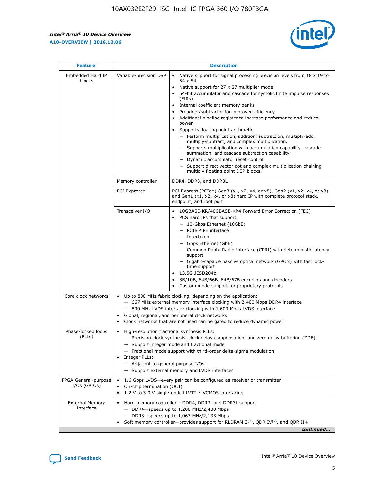$\mathsf{r}$ 



| <b>Feature</b>                         |                                                                                                                | <b>Description</b>                                                                                                                                                                                                                                                                                                                                                                                                                                                                                                                                                                                                                                                                                                                                                                                                                          |
|----------------------------------------|----------------------------------------------------------------------------------------------------------------|---------------------------------------------------------------------------------------------------------------------------------------------------------------------------------------------------------------------------------------------------------------------------------------------------------------------------------------------------------------------------------------------------------------------------------------------------------------------------------------------------------------------------------------------------------------------------------------------------------------------------------------------------------------------------------------------------------------------------------------------------------------------------------------------------------------------------------------------|
| Embedded Hard IP<br>blocks             | Variable-precision DSP                                                                                         | Native support for signal processing precision levels from $18 \times 19$ to<br>$\bullet$<br>54 x 54<br>Native support for 27 x 27 multiplier mode<br>64-bit accumulator and cascade for systolic finite impulse responses<br>(FIRS)<br>Internal coefficient memory banks<br>٠<br>Preadder/subtractor for improved efficiency<br>Additional pipeline register to increase performance and reduce<br>power<br>Supports floating point arithmetic:<br>- Perform multiplication, addition, subtraction, multiply-add,<br>multiply-subtract, and complex multiplication.<br>- Supports multiplication with accumulation capability, cascade<br>summation, and cascade subtraction capability.<br>- Dynamic accumulator reset control.<br>- Support direct vector dot and complex multiplication chaining<br>multiply floating point DSP blocks. |
|                                        | Memory controller                                                                                              | DDR4, DDR3, and DDR3L                                                                                                                                                                                                                                                                                                                                                                                                                                                                                                                                                                                                                                                                                                                                                                                                                       |
|                                        | PCI Express*                                                                                                   | PCI Express (PCIe*) Gen3 (x1, x2, x4, or x8), Gen2 (x1, x2, x4, or x8)<br>and Gen1 (x1, x2, x4, or x8) hard IP with complete protocol stack,<br>endpoint, and root port                                                                                                                                                                                                                                                                                                                                                                                                                                                                                                                                                                                                                                                                     |
|                                        | Transceiver I/O                                                                                                | 10GBASE-KR/40GBASE-KR4 Forward Error Correction (FEC)<br>PCS hard IPs that support:<br>- 10-Gbps Ethernet (10GbE)<br>- PCIe PIPE interface<br>- Interlaken<br>- Gbps Ethernet (GbE)<br>- Common Public Radio Interface (CPRI) with deterministic latency<br>support<br>- Gigabit-capable passive optical network (GPON) with fast lock-<br>time support<br>13.5G JESD204b<br>8B/10B, 64B/66B, 64B/67B encoders and decoders<br>Custom mode support for proprietary protocols                                                                                                                                                                                                                                                                                                                                                                |
| Core clock networks                    | $\bullet$                                                                                                      | Up to 800 MHz fabric clocking, depending on the application:<br>- 667 MHz external memory interface clocking with 2,400 Mbps DDR4 interface<br>- 800 MHz LVDS interface clocking with 1,600 Mbps LVDS interface<br>Global, regional, and peripheral clock networks<br>Clock networks that are not used can be gated to reduce dynamic power                                                                                                                                                                                                                                                                                                                                                                                                                                                                                                 |
| Phase-locked loops<br>(PLLs)           | High-resolution fractional synthesis PLLs:<br>$\bullet$<br>Integer PLLs:<br>- Adjacent to general purpose I/Os | - Precision clock synthesis, clock delay compensation, and zero delay buffering (ZDB)<br>- Support integer mode and fractional mode<br>- Fractional mode support with third-order delta-sigma modulation<br>- Support external memory and LVDS interfaces                                                                                                                                                                                                                                                                                                                                                                                                                                                                                                                                                                                   |
| FPGA General-purpose<br>$I/Os$ (GPIOs) | On-chip termination (OCT)<br>$\bullet$                                                                         | 1.6 Gbps LVDS-every pair can be configured as receiver or transmitter<br>1.2 V to 3.0 V single-ended LVTTL/LVCMOS interfacing                                                                                                                                                                                                                                                                                                                                                                                                                                                                                                                                                                                                                                                                                                               |
| <b>External Memory</b><br>Interface    |                                                                                                                | Hard memory controller- DDR4, DDR3, and DDR3L support<br>$-$ DDR4 $-$ speeds up to 1,200 MHz/2,400 Mbps<br>- DDR3-speeds up to 1,067 MHz/2,133 Mbps<br>Soft memory controller—provides support for RLDRAM $3^{(2)}$ , QDR IV $(2)$ , and QDR II+<br>continued                                                                                                                                                                                                                                                                                                                                                                                                                                                                                                                                                                               |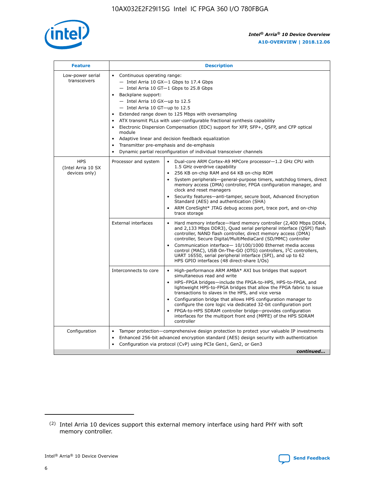

| <b>Feature</b>                                    | <b>Description</b>                                                                                                                                                                                                                                                                                                                                                                                                                                                                                                                                                                                                                                                 |
|---------------------------------------------------|--------------------------------------------------------------------------------------------------------------------------------------------------------------------------------------------------------------------------------------------------------------------------------------------------------------------------------------------------------------------------------------------------------------------------------------------------------------------------------------------------------------------------------------------------------------------------------------------------------------------------------------------------------------------|
| Low-power serial<br>transceivers                  | • Continuous operating range:<br>- Intel Arria 10 GX-1 Gbps to 17.4 Gbps<br>- Intel Arria 10 GT-1 Gbps to 25.8 Gbps<br>Backplane support:<br>$-$ Intel Arria 10 GX-up to 12.5<br>- Intel Arria 10 GT-up to 12.5<br>Extended range down to 125 Mbps with oversampling<br>ATX transmit PLLs with user-configurable fractional synthesis capability<br>$\bullet$<br>Electronic Dispersion Compensation (EDC) support for XFP, SFP+, OSFP, and CFP optical<br>module<br>Adaptive linear and decision feedback equalization<br>$\bullet$<br>Transmitter pre-emphasis and de-emphasis<br>$\bullet$<br>Dynamic partial reconfiguration of individual transceiver channels |
| <b>HPS</b><br>(Intel Arria 10 SX<br>devices only) | • Dual-core ARM Cortex-A9 MPCore processor-1.2 GHz CPU with<br>Processor and system<br>1.5 GHz overdrive capability<br>256 KB on-chip RAM and 64 KB on-chip ROM<br>$\bullet$<br>System peripherals—general-purpose timers, watchdog timers, direct<br>memory access (DMA) controller, FPGA configuration manager, and<br>clock and reset managers<br>Security features—anti-tamper, secure boot, Advanced Encryption<br>$\bullet$<br>Standard (AES) and authentication (SHA)<br>ARM CoreSight* JTAG debug access port, trace port, and on-chip<br>$\bullet$<br>trace storage                                                                                       |
|                                                   | <b>External interfaces</b><br>Hard memory interface-Hard memory controller (2,400 Mbps DDR4,<br>$\bullet$<br>and 2,133 Mbps DDR3), Quad serial peripheral interface (OSPI) flash<br>controller, NAND flash controller, direct memory access (DMA)<br>controller, Secure Digital/MultiMediaCard (SD/MMC) controller<br>Communication interface-10/100/1000 Ethernet media access<br>$\bullet$<br>control (MAC), USB On-The-GO (OTG) controllers, I <sup>2</sup> C controllers,<br>UART 16550, serial peripheral interface (SPI), and up to 62<br>HPS GPIO interfaces (48 direct-share I/Os)                                                                         |
|                                                   | Interconnects to core<br>High-performance ARM AMBA* AXI bus bridges that support<br>$\bullet$<br>simultaneous read and write<br>HPS-FPGA bridges-include the FPGA-to-HPS, HPS-to-FPGA, and<br>$\bullet$<br>lightweight HPS-to-FPGA bridges that allow the FPGA fabric to issue<br>transactions to slaves in the HPS, and vice versa<br>Configuration bridge that allows HPS configuration manager to<br>configure the core logic via dedicated 32-bit configuration port<br>FPGA-to-HPS SDRAM controller bridge-provides configuration<br>interfaces for the multiport front end (MPFE) of the HPS SDRAM<br>controller                                             |
| Configuration                                     | Tamper protection—comprehensive design protection to protect your valuable IP investments<br>Enhanced 256-bit advanced encryption standard (AES) design security with authentication<br>٠<br>Configuration via protocol (CvP) using PCIe Gen1, Gen2, or Gen3<br>continued                                                                                                                                                                                                                                                                                                                                                                                          |

<sup>(2)</sup> Intel Arria 10 devices support this external memory interface using hard PHY with soft memory controller.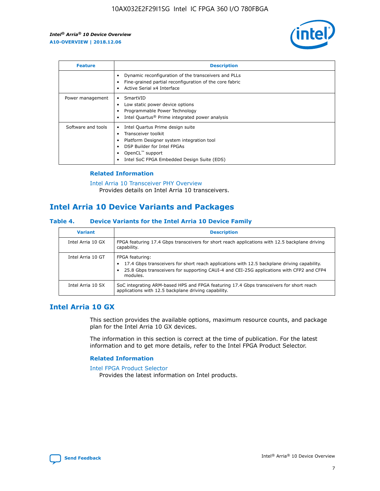

| <b>Feature</b>     | <b>Description</b>                                                                                                                                                                                               |
|--------------------|------------------------------------------------------------------------------------------------------------------------------------------------------------------------------------------------------------------|
|                    | Dynamic reconfiguration of the transceivers and PLLs<br>Fine-grained partial reconfiguration of the core fabric<br>Active Serial x4 Interface                                                                    |
| Power management   | SmartVID<br>Low static power device options<br>Programmable Power Technology<br>Intel Quartus <sup>®</sup> Prime integrated power analysis                                                                       |
| Software and tools | Intel Quartus Prime design suite<br>Transceiver toolkit<br>Platform Designer system integration tool<br>DSP Builder for Intel FPGAs<br>OpenCL <sup>™</sup> support<br>Intel SoC FPGA Embedded Design Suite (EDS) |

# **Related Information**

[Intel Arria 10 Transceiver PHY Overview](https://www.intel.com/content/www/us/en/programmable/documentation/nik1398707230472.html#nik1398706768037) Provides details on Intel Arria 10 transceivers.

# **Intel Arria 10 Device Variants and Packages**

#### **Table 4. Device Variants for the Intel Arria 10 Device Family**

| <b>Variant</b>    | <b>Description</b>                                                                                                                                                                                                     |
|-------------------|------------------------------------------------------------------------------------------------------------------------------------------------------------------------------------------------------------------------|
| Intel Arria 10 GX | FPGA featuring 17.4 Gbps transceivers for short reach applications with 12.5 backplane driving<br>capability.                                                                                                          |
| Intel Arria 10 GT | FPGA featuring:<br>17.4 Gbps transceivers for short reach applications with 12.5 backplane driving capability.<br>25.8 Gbps transceivers for supporting CAUI-4 and CEI-25G applications with CFP2 and CFP4<br>modules. |
| Intel Arria 10 SX | SoC integrating ARM-based HPS and FPGA featuring 17.4 Gbps transceivers for short reach<br>applications with 12.5 backplane driving capability.                                                                        |

# **Intel Arria 10 GX**

This section provides the available options, maximum resource counts, and package plan for the Intel Arria 10 GX devices.

The information in this section is correct at the time of publication. For the latest information and to get more details, refer to the Intel FPGA Product Selector.

## **Related Information**

#### [Intel FPGA Product Selector](http://www.altera.com/products/selector/psg-selector.html) Provides the latest information on Intel products.

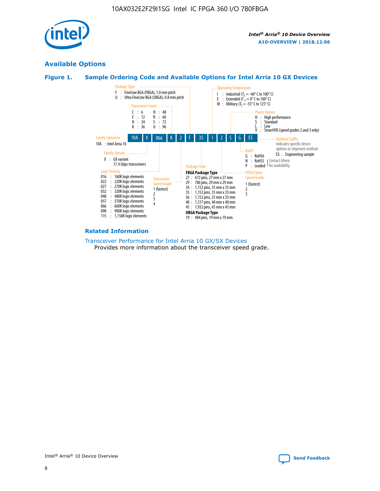

# **Available Options**





#### **Related Information**

#### [Transceiver Performance for Intel Arria 10 GX/SX Devices](https://www.intel.com/content/www/us/en/programmable/documentation/mcn1413182292568.html#mcn1413213965502) Provides more information about the transceiver speed grade.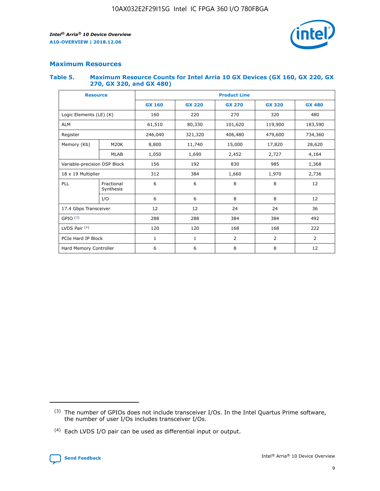

# **Maximum Resources**

#### **Table 5. Maximum Resource Counts for Intel Arria 10 GX Devices (GX 160, GX 220, GX 270, GX 320, and GX 480)**

| <b>Resource</b>              |                         | <b>Product Line</b>     |                                |            |                |                |  |  |  |
|------------------------------|-------------------------|-------------------------|--------------------------------|------------|----------------|----------------|--|--|--|
|                              |                         | <b>GX 160</b>           | <b>GX 220</b><br><b>GX 270</b> |            | <b>GX 320</b>  | <b>GX 480</b>  |  |  |  |
| Logic Elements (LE) (K)      |                         | 160                     | 220                            | 270        | 320            | 480            |  |  |  |
| <b>ALM</b>                   |                         | 61,510                  | 80,330                         | 101,620    | 119,900        | 183,590        |  |  |  |
| Register                     |                         | 246,040                 | 406,480<br>321,320             |            | 479,600        | 734,360        |  |  |  |
| Memory (Kb)                  | M <sub>20</sub> K       | 8,800                   | 11,740                         | 15,000     | 17,820         | 28,620         |  |  |  |
|                              | <b>MLAB</b>             | 1,050<br>1,690<br>2,452 |                                |            | 2,727          | 4,164          |  |  |  |
| Variable-precision DSP Block |                         | 156                     | 192                            | 830        | 985            |                |  |  |  |
| 18 x 19 Multiplier           |                         | 312                     | 384                            | 1,660      | 1,970          | 2,736          |  |  |  |
| PLL                          | Fractional<br>Synthesis | 6                       | 6                              | 8          | 8              | 12             |  |  |  |
|                              | I/O                     | 6                       | 6                              | 8          | 8              | 12             |  |  |  |
| 17.4 Gbps Transceiver        |                         | 12                      | 12                             | 24         | 24             | 36             |  |  |  |
| GPIO <sup>(3)</sup>          |                         | 288                     | 288                            | 384<br>384 |                | 492            |  |  |  |
| LVDS Pair $(4)$              |                         | 120                     | 120                            | 168        | 168            | 222            |  |  |  |
| PCIe Hard IP Block           |                         | 1                       | 1                              | 2          | $\overline{2}$ | $\overline{2}$ |  |  |  |
| Hard Memory Controller       |                         | 6                       | 6                              | 8          | 8              | 12             |  |  |  |

<sup>(4)</sup> Each LVDS I/O pair can be used as differential input or output.



<sup>(3)</sup> The number of GPIOs does not include transceiver I/Os. In the Intel Quartus Prime software, the number of user I/Os includes transceiver I/Os.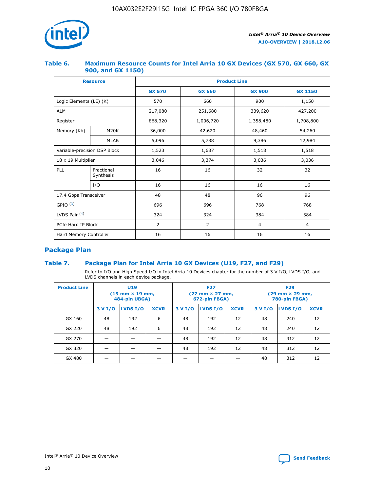

## **Table 6. Maximum Resource Counts for Intel Arria 10 GX Devices (GX 570, GX 660, GX 900, and GX 1150)**

|                              | <b>Resource</b>         | <b>Product Line</b> |                |                |                |  |  |  |  |
|------------------------------|-------------------------|---------------------|----------------|----------------|----------------|--|--|--|--|
|                              |                         | <b>GX 570</b>       | <b>GX 660</b>  | <b>GX 900</b>  | <b>GX 1150</b> |  |  |  |  |
| Logic Elements (LE) (K)      |                         | 570                 | 660            | 900            | 1,150          |  |  |  |  |
| <b>ALM</b>                   |                         | 217,080             | 251,680        | 339,620        | 427,200        |  |  |  |  |
| Register                     |                         | 868,320             | 1,006,720      |                | 1,708,800      |  |  |  |  |
| Memory (Kb)                  | <b>M20K</b>             | 36,000              | 42,620         | 48,460         | 54,260         |  |  |  |  |
|                              | <b>MLAB</b>             | 5,096               | 5,788          | 9,386          | 12,984         |  |  |  |  |
| Variable-precision DSP Block |                         | 1,523               | 1,687          | 1,518          | 1,518          |  |  |  |  |
| $18 \times 19$ Multiplier    |                         | 3,046               | 3,374          | 3,036          | 3,036          |  |  |  |  |
| PLL                          | Fractional<br>Synthesis | 16                  | 16             | 32             | 32             |  |  |  |  |
|                              | I/O                     | 16                  | 16             | 16             | 16             |  |  |  |  |
| 17.4 Gbps Transceiver        |                         | 48                  | 96<br>48       |                | 96             |  |  |  |  |
| GPIO <sup>(3)</sup>          |                         | 696                 | 696            | 768            | 768            |  |  |  |  |
| LVDS Pair $(4)$              |                         | 324                 | 324            | 384            | 384            |  |  |  |  |
| PCIe Hard IP Block           |                         | $\overline{2}$      | $\overline{2}$ | $\overline{4}$ | $\overline{4}$ |  |  |  |  |
| Hard Memory Controller       |                         | 16                  | 16             | 16             |                |  |  |  |  |

# **Package Plan**

# **Table 7. Package Plan for Intel Arria 10 GX Devices (U19, F27, and F29)**

Refer to I/O and High Speed I/O in Intel Arria 10 Devices chapter for the number of 3 V I/O, LVDS I/O, and LVDS channels in each device package.

| <b>Product Line</b> |         | U <sub>19</sub><br>$(19 \text{ mm} \times 19 \text{ mm})$<br>484-pin UBGA) |             |         | <b>F27</b><br>(27 mm × 27 mm,<br>672-pin FBGA) |             | <b>F29</b><br>$(29 \text{ mm} \times 29 \text{ mm})$<br>780-pin FBGA) |          |             |
|---------------------|---------|----------------------------------------------------------------------------|-------------|---------|------------------------------------------------|-------------|-----------------------------------------------------------------------|----------|-------------|
|                     | 3 V I/O | <b>LVDS I/O</b>                                                            | <b>XCVR</b> | 3 V I/O | <b>LVDS I/O</b>                                | <b>XCVR</b> | 3 V I/O                                                               | LVDS I/O | <b>XCVR</b> |
| GX 160              | 48      | 192                                                                        | 6           | 48      | 192                                            | 12          | 48                                                                    | 240      | 12          |
| GX 220              | 48      | 192                                                                        | 6           | 48      | 192                                            | 12          | 48                                                                    | 240      | 12          |
| GX 270              |         |                                                                            |             | 48      | 192                                            | 12          | 48                                                                    | 312      | 12          |
| GX 320              |         |                                                                            |             | 48      | 192                                            | 12          | 48                                                                    | 312      | 12          |
| GX 480              |         |                                                                            |             |         |                                                |             | 48                                                                    | 312      | 12          |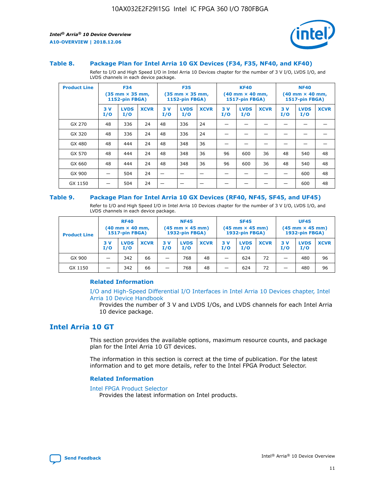

#### **Table 8. Package Plan for Intel Arria 10 GX Devices (F34, F35, NF40, and KF40)**

Refer to I/O and High Speed I/O in Intel Arria 10 Devices chapter for the number of 3 V I/O, LVDS I/O, and LVDS channels in each device package.

| <b>Product Line</b> | <b>F34</b><br>$(35 \text{ mm} \times 35 \text{ mm})$<br>1152-pin FBGA) |                    | <b>F35</b><br>$(35$ mm $\times$ 35 mm,<br>1152-pin FBGA) |           | <b>KF40</b><br>$(40$ mm $\times$ 40 mm,<br>1517-pin FBGA) |             |           | <b>NF40</b><br>$(40$ mm $\times$ 40 mm,<br><b>1517-pin FBGA)</b> |             |            |                    |             |
|---------------------|------------------------------------------------------------------------|--------------------|----------------------------------------------------------|-----------|-----------------------------------------------------------|-------------|-----------|------------------------------------------------------------------|-------------|------------|--------------------|-------------|
|                     | 3V<br>I/O                                                              | <b>LVDS</b><br>I/O | <b>XCVR</b>                                              | 3V<br>I/O | <b>LVDS</b><br>I/O                                        | <b>XCVR</b> | 3V<br>I/O | <b>LVDS</b><br>I/O                                               | <b>XCVR</b> | 3 V<br>I/O | <b>LVDS</b><br>I/O | <b>XCVR</b> |
| GX 270              | 48                                                                     | 336                | 24                                                       | 48        | 336                                                       | 24          |           |                                                                  |             |            |                    |             |
| GX 320              | 48                                                                     | 336                | 24                                                       | 48        | 336                                                       | 24          |           |                                                                  |             |            |                    |             |
| GX 480              | 48                                                                     | 444                | 24                                                       | 48        | 348                                                       | 36          |           |                                                                  |             |            |                    |             |
| GX 570              | 48                                                                     | 444                | 24                                                       | 48        | 348                                                       | 36          | 96        | 600                                                              | 36          | 48         | 540                | 48          |
| GX 660              | 48                                                                     | 444                | 24                                                       | 48        | 348                                                       | 36          | 96        | 600                                                              | 36          | 48         | 540                | 48          |
| GX 900              |                                                                        | 504                | 24                                                       | –         |                                                           | -           |           |                                                                  |             |            | 600                | 48          |
| GX 1150             |                                                                        | 504                | 24                                                       |           |                                                           |             |           |                                                                  |             |            | 600                | 48          |

#### **Table 9. Package Plan for Intel Arria 10 GX Devices (RF40, NF45, SF45, and UF45)**

Refer to I/O and High Speed I/O in Intel Arria 10 Devices chapter for the number of 3 V I/O, LVDS I/O, and LVDS channels in each device package.

| <b>Product Line</b> | <b>RF40</b><br>$(40$ mm $\times$ 40 mm,<br>1517-pin FBGA) |                    | <b>NF45</b><br>$(45 \text{ mm} \times 45 \text{ mm})$<br><b>1932-pin FBGA)</b> |            |                    | <b>SF45</b><br>$(45 \text{ mm} \times 45 \text{ mm})$<br><b>1932-pin FBGA)</b> |            |                    | <b>UF45</b><br>$(45 \text{ mm} \times 45 \text{ mm})$<br><b>1932-pin FBGA)</b> |           |                    |             |
|---------------------|-----------------------------------------------------------|--------------------|--------------------------------------------------------------------------------|------------|--------------------|--------------------------------------------------------------------------------|------------|--------------------|--------------------------------------------------------------------------------|-----------|--------------------|-------------|
|                     | 3V<br>I/O                                                 | <b>LVDS</b><br>I/O | <b>XCVR</b>                                                                    | 3 V<br>I/O | <b>LVDS</b><br>I/O | <b>XCVR</b>                                                                    | 3 V<br>I/O | <b>LVDS</b><br>I/O | <b>XCVR</b>                                                                    | 3V<br>I/O | <b>LVDS</b><br>I/O | <b>XCVR</b> |
| GX 900              |                                                           | 342                | 66                                                                             | _          | 768                | 48                                                                             |            | 624                | 72                                                                             |           | 480                | 96          |
| GX 1150             |                                                           | 342                | 66                                                                             | _          | 768                | 48                                                                             |            | 624                | 72                                                                             |           | 480                | 96          |

## **Related Information**

[I/O and High-Speed Differential I/O Interfaces in Intel Arria 10 Devices chapter, Intel](https://www.intel.com/content/www/us/en/programmable/documentation/sam1403482614086.html#sam1403482030321) [Arria 10 Device Handbook](https://www.intel.com/content/www/us/en/programmable/documentation/sam1403482614086.html#sam1403482030321)

Provides the number of 3 V and LVDS I/Os, and LVDS channels for each Intel Arria 10 device package.

# **Intel Arria 10 GT**

This section provides the available options, maximum resource counts, and package plan for the Intel Arria 10 GT devices.

The information in this section is correct at the time of publication. For the latest information and to get more details, refer to the Intel FPGA Product Selector.

#### **Related Information**

#### [Intel FPGA Product Selector](http://www.altera.com/products/selector/psg-selector.html)

Provides the latest information on Intel products.

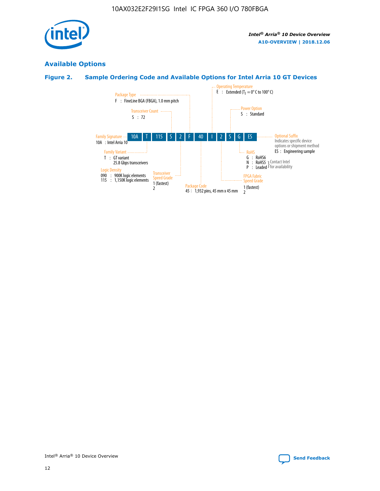

# **Available Options**

# **Figure 2. Sample Ordering Code and Available Options for Intel Arria 10 GT Devices**

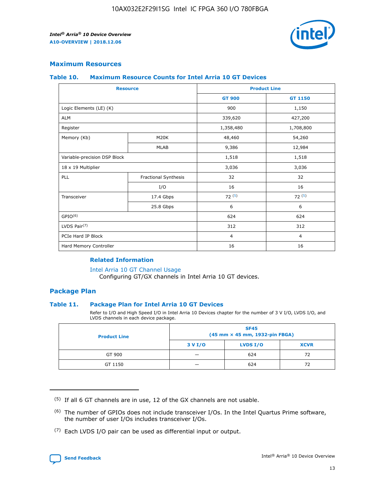

# **Maximum Resources**

#### **Table 10. Maximum Resource Counts for Intel Arria 10 GT Devices**

| <b>Resource</b>              |                      | <b>Product Line</b> |                |  |
|------------------------------|----------------------|---------------------|----------------|--|
|                              |                      | <b>GT 900</b>       | <b>GT 1150</b> |  |
| Logic Elements (LE) (K)      |                      | 900                 | 1,150          |  |
| <b>ALM</b>                   |                      | 339,620             | 427,200        |  |
| Register                     |                      | 1,358,480           | 1,708,800      |  |
| Memory (Kb)                  | M20K                 | 48,460              | 54,260         |  |
|                              | <b>MLAB</b>          | 9,386               | 12,984         |  |
| Variable-precision DSP Block |                      | 1,518               | 1,518          |  |
| 18 x 19 Multiplier           |                      | 3,036               | 3,036          |  |
| PLL                          | Fractional Synthesis | 32                  | 32             |  |
|                              | I/O                  | 16                  | 16             |  |
| Transceiver                  | 17.4 Gbps            | 72(5)               | 72(5)          |  |
|                              | 25.8 Gbps            | 6                   | 6              |  |
| GPIO <sup>(6)</sup>          |                      | 624                 | 624            |  |
| LVDS Pair $(7)$              |                      | 312                 | 312            |  |
| PCIe Hard IP Block           |                      | $\overline{4}$      | $\overline{4}$ |  |
| Hard Memory Controller       |                      | 16                  | 16             |  |

## **Related Information**

#### [Intel Arria 10 GT Channel Usage](https://www.intel.com/content/www/us/en/programmable/documentation/nik1398707230472.html#nik1398707008178)

Configuring GT/GX channels in Intel Arria 10 GT devices.

# **Package Plan**

## **Table 11. Package Plan for Intel Arria 10 GT Devices**

Refer to I/O and High Speed I/O in Intel Arria 10 Devices chapter for the number of 3 V I/O, LVDS I/O, and LVDS channels in each device package.

| <b>Product Line</b> | <b>SF45</b><br>(45 mm × 45 mm, 1932-pin FBGA) |                 |             |  |  |  |
|---------------------|-----------------------------------------------|-----------------|-------------|--|--|--|
|                     | 3 V I/O                                       | <b>LVDS I/O</b> | <b>XCVR</b> |  |  |  |
| GT 900              |                                               | 624             | 72          |  |  |  |
| GT 1150             |                                               | 624             | 72          |  |  |  |

<sup>(7)</sup> Each LVDS I/O pair can be used as differential input or output.



 $(5)$  If all 6 GT channels are in use, 12 of the GX channels are not usable.

<sup>(6)</sup> The number of GPIOs does not include transceiver I/Os. In the Intel Quartus Prime software, the number of user I/Os includes transceiver I/Os.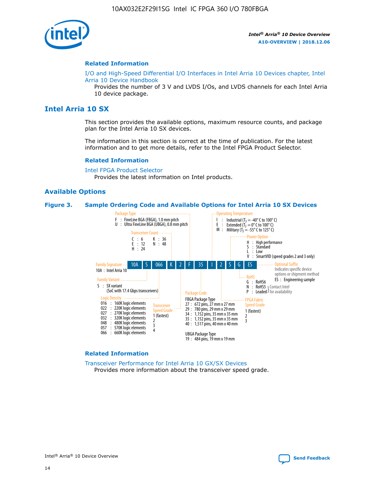

#### **Related Information**

[I/O and High-Speed Differential I/O Interfaces in Intel Arria 10 Devices chapter, Intel](https://www.intel.com/content/www/us/en/programmable/documentation/sam1403482614086.html#sam1403482030321) [Arria 10 Device Handbook](https://www.intel.com/content/www/us/en/programmable/documentation/sam1403482614086.html#sam1403482030321)

Provides the number of 3 V and LVDS I/Os, and LVDS channels for each Intel Arria 10 device package.

# **Intel Arria 10 SX**

This section provides the available options, maximum resource counts, and package plan for the Intel Arria 10 SX devices.

The information in this section is correct at the time of publication. For the latest information and to get more details, refer to the Intel FPGA Product Selector.

#### **Related Information**

[Intel FPGA Product Selector](http://www.altera.com/products/selector/psg-selector.html) Provides the latest information on Intel products.

## **Available Options**

#### **Figure 3. Sample Ordering Code and Available Options for Intel Arria 10 SX Devices**



#### **Related Information**

[Transceiver Performance for Intel Arria 10 GX/SX Devices](https://www.intel.com/content/www/us/en/programmable/documentation/mcn1413182292568.html#mcn1413213965502) Provides more information about the transceiver speed grade.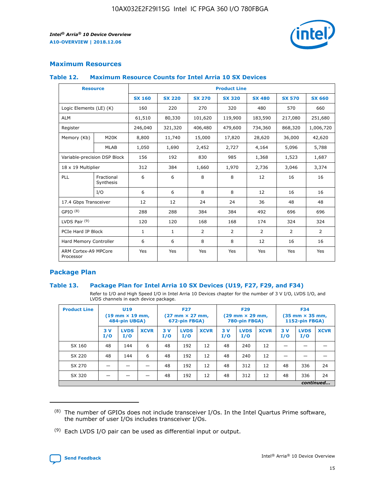

# **Maximum Resources**

#### **Table 12. Maximum Resource Counts for Intel Arria 10 SX Devices**

| <b>Resource</b>                   |                         | <b>Product Line</b> |               |                |                |               |                |               |  |  |  |
|-----------------------------------|-------------------------|---------------------|---------------|----------------|----------------|---------------|----------------|---------------|--|--|--|
|                                   |                         | <b>SX 160</b>       | <b>SX 220</b> | <b>SX 270</b>  | <b>SX 320</b>  | <b>SX 480</b> | <b>SX 570</b>  | <b>SX 660</b> |  |  |  |
| Logic Elements (LE) (K)           |                         | 160                 | 220           | 270            | 320            | 480           | 570            | 660           |  |  |  |
| <b>ALM</b>                        |                         | 61,510              | 80,330        | 101,620        | 119,900        | 183,590       | 217,080        | 251,680       |  |  |  |
| Register                          |                         | 246,040             | 321,320       | 406,480        | 479,600        | 734,360       | 868,320        | 1,006,720     |  |  |  |
| Memory (Kb)                       | M <sub>20</sub> K       | 8,800               | 11,740        | 15,000         | 17,820         | 28,620        | 36,000         | 42,620        |  |  |  |
|                                   | <b>MLAB</b>             | 1,050               | 1,690         | 2,452          | 2,727          | 4,164         | 5,096          | 5,788         |  |  |  |
| Variable-precision DSP Block      |                         | 156                 | 192           | 830            | 985            | 1,368         | 1,523          | 1,687         |  |  |  |
| 18 x 19 Multiplier                |                         | 312                 | 384           | 1,660          | 1,970          | 2,736         | 3,046          | 3,374         |  |  |  |
| PLL                               | Fractional<br>Synthesis | 6                   | 6             | 8              | 8              | 12            | 16             | 16            |  |  |  |
|                                   | I/O                     | 6                   | 6             | 8              | 8              | 12            | 16             | 16            |  |  |  |
| 17.4 Gbps Transceiver             |                         | 12                  | 12            | 24             | 24             | 36            | 48             | 48            |  |  |  |
| GPIO <sup>(8)</sup>               |                         | 288                 | 288           | 384            | 384            | 492           | 696            | 696           |  |  |  |
| LVDS Pair $(9)$                   |                         | 120                 | 120           | 168            | 168            | 174           | 324            | 324           |  |  |  |
| PCIe Hard IP Block                |                         | $\mathbf{1}$        | 1             | $\overline{2}$ | $\overline{2}$ | 2             | $\overline{2}$ | 2             |  |  |  |
| Hard Memory Controller            |                         | 6                   | 6             | 8              | 8              | 12            | 16             | 16            |  |  |  |
| ARM Cortex-A9 MPCore<br>Processor |                         | Yes                 | Yes           | Yes            | Yes            | Yes           | Yes            | Yes           |  |  |  |

# **Package Plan**

## **Table 13. Package Plan for Intel Arria 10 SX Devices (U19, F27, F29, and F34)**

Refer to I/O and High Speed I/O in Intel Arria 10 Devices chapter for the number of 3 V I/O, LVDS I/O, and LVDS channels in each device package.

| <b>Product Line</b> | <b>U19</b><br>$(19 \text{ mm} \times 19 \text{ mm})$<br>484-pin UBGA) |                    |             | <b>F27</b><br>$(27 \text{ mm} \times 27 \text{ mm})$<br>672-pin FBGA) |                    | <b>F29</b><br>$(29 \text{ mm} \times 29 \text{ mm})$<br>780-pin FBGA) |           |                    | <b>F34</b><br>$(35 \text{ mm} \times 35 \text{ mm})$<br><b>1152-pin FBGA)</b> |           |                    |             |
|---------------------|-----------------------------------------------------------------------|--------------------|-------------|-----------------------------------------------------------------------|--------------------|-----------------------------------------------------------------------|-----------|--------------------|-------------------------------------------------------------------------------|-----------|--------------------|-------------|
|                     | 3V<br>I/O                                                             | <b>LVDS</b><br>I/O | <b>XCVR</b> | 3V<br>I/O                                                             | <b>LVDS</b><br>I/O | <b>XCVR</b>                                                           | 3V<br>I/O | <b>LVDS</b><br>I/O | <b>XCVR</b>                                                                   | 3V<br>I/O | <b>LVDS</b><br>I/O | <b>XCVR</b> |
| SX 160              | 48                                                                    | 144                | 6           | 48                                                                    | 192                | 12                                                                    | 48        | 240                | 12                                                                            | -         |                    |             |
| SX 220              | 48                                                                    | 144                | 6           | 48                                                                    | 192                | 12                                                                    | 48        | 240                | 12                                                                            |           |                    |             |
| SX 270              |                                                                       |                    |             | 48                                                                    | 192                | 12                                                                    | 48        | 312                | 12                                                                            | 48        | 336                | 24          |
| SX 320              |                                                                       |                    |             | 48                                                                    | 192                | 12                                                                    | 48        | 312                | 12                                                                            | 48        | 336                | 24          |
|                     |                                                                       |                    |             |                                                                       |                    |                                                                       |           |                    |                                                                               |           |                    | continued   |

 $(8)$  The number of GPIOs does not include transceiver I/Os. In the Intel Quartus Prime software, the number of user I/Os includes transceiver I/Os.

 $(9)$  Each LVDS I/O pair can be used as differential input or output.

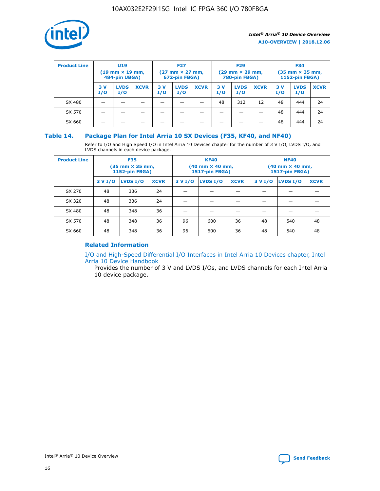

| <b>Product Line</b> | U <sub>19</sub><br>$(19 \text{ mm} \times 19 \text{ mm})$<br>484-pin UBGA) |                    | <b>F27</b><br>$(27 \text{ mm} \times 27 \text{ mm})$<br>672-pin FBGA) |           | <b>F29</b><br>$(29 \text{ mm} \times 29 \text{ mm})$<br>780-pin FBGA) |             |           | <b>F34</b><br>$(35$ mm $\times$ 35 mm,<br><b>1152-pin FBGA)</b> |             |           |                    |             |
|---------------------|----------------------------------------------------------------------------|--------------------|-----------------------------------------------------------------------|-----------|-----------------------------------------------------------------------|-------------|-----------|-----------------------------------------------------------------|-------------|-----------|--------------------|-------------|
|                     | 3V<br>I/O                                                                  | <b>LVDS</b><br>I/O | <b>XCVR</b>                                                           | 3V<br>I/O | <b>LVDS</b><br>I/O                                                    | <b>XCVR</b> | 3V<br>I/O | <b>LVDS</b><br>I/O                                              | <b>XCVR</b> | 3V<br>I/O | <b>LVDS</b><br>I/O | <b>XCVR</b> |
| SX 480              |                                                                            |                    |                                                                       |           |                                                                       |             | 48        | 312                                                             | 12          | 48        | 444                | 24          |
| SX 570              |                                                                            |                    |                                                                       |           |                                                                       |             |           |                                                                 |             | 48        | 444                | 24          |
| SX 660              |                                                                            |                    |                                                                       |           |                                                                       |             |           |                                                                 |             | 48        | 444                | 24          |

## **Table 14. Package Plan for Intel Arria 10 SX Devices (F35, KF40, and NF40)**

Refer to I/O and High Speed I/O in Intel Arria 10 Devices chapter for the number of 3 V I/O, LVDS I/O, and LVDS channels in each device package.

| <b>Product Line</b> | <b>F35</b><br>$(35 \text{ mm} \times 35 \text{ mm})$<br><b>1152-pin FBGA)</b> |          |             |                                           | <b>KF40</b><br>(40 mm × 40 mm,<br>1517-pin FBGA) |    | <b>NF40</b><br>$(40 \text{ mm} \times 40 \text{ mm})$<br>1517-pin FBGA) |          |             |  |
|---------------------|-------------------------------------------------------------------------------|----------|-------------|-------------------------------------------|--------------------------------------------------|----|-------------------------------------------------------------------------|----------|-------------|--|
|                     | 3 V I/O                                                                       | LVDS I/O | <b>XCVR</b> | <b>LVDS I/O</b><br><b>XCVR</b><br>3 V I/O |                                                  |    | 3 V I/O                                                                 | LVDS I/O | <b>XCVR</b> |  |
| SX 270              | 48                                                                            | 336      | 24          |                                           |                                                  |    |                                                                         |          |             |  |
| SX 320              | 48                                                                            | 336      | 24          |                                           |                                                  |    |                                                                         |          |             |  |
| SX 480              | 48                                                                            | 348      | 36          |                                           |                                                  |    |                                                                         |          |             |  |
| SX 570              | 48                                                                            | 348      | 36          | 96<br>36<br>600                           |                                                  | 48 | 540                                                                     | 48       |             |  |
| SX 660              | 48                                                                            | 348      | 36          | 96                                        | 600                                              | 36 | 48                                                                      | 540      | 48          |  |

# **Related Information**

[I/O and High-Speed Differential I/O Interfaces in Intel Arria 10 Devices chapter, Intel](https://www.intel.com/content/www/us/en/programmable/documentation/sam1403482614086.html#sam1403482030321) [Arria 10 Device Handbook](https://www.intel.com/content/www/us/en/programmable/documentation/sam1403482614086.html#sam1403482030321)

Provides the number of 3 V and LVDS I/Os, and LVDS channels for each Intel Arria 10 device package.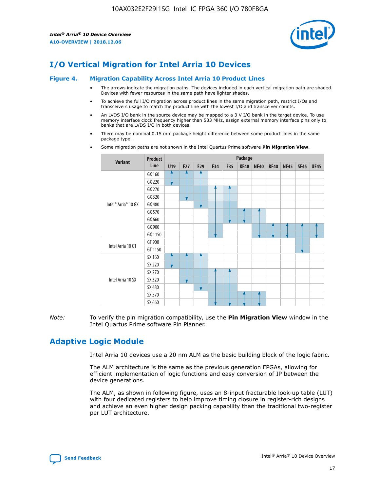

# **I/O Vertical Migration for Intel Arria 10 Devices**

#### **Figure 4. Migration Capability Across Intel Arria 10 Product Lines**

- The arrows indicate the migration paths. The devices included in each vertical migration path are shaded. Devices with fewer resources in the same path have lighter shades.
- To achieve the full I/O migration across product lines in the same migration path, restrict I/Os and transceivers usage to match the product line with the lowest I/O and transceiver counts.
- An LVDS I/O bank in the source device may be mapped to a 3 V I/O bank in the target device. To use memory interface clock frequency higher than 533 MHz, assign external memory interface pins only to banks that are LVDS I/O in both devices.
- There may be nominal 0.15 mm package height difference between some product lines in the same package type.
	- **Variant Product Line Package U19 F27 F29 F34 F35 KF40 NF40 RF40 NF45 SF45 UF45** Intel® Arria® 10 GX GX 160 GX 220 GX 270 GX 320 GX 480 GX 570 GX 660 GX 900 GX 1150 Intel Arria 10 GT GT 900 GT 1150 Intel Arria 10 SX SX 160 SX 220 SX 270 SX 320 SX 480 SX 570 SX 660
- Some migration paths are not shown in the Intel Quartus Prime software **Pin Migration View**.

*Note:* To verify the pin migration compatibility, use the **Pin Migration View** window in the Intel Quartus Prime software Pin Planner.

# **Adaptive Logic Module**

Intel Arria 10 devices use a 20 nm ALM as the basic building block of the logic fabric.

The ALM architecture is the same as the previous generation FPGAs, allowing for efficient implementation of logic functions and easy conversion of IP between the device generations.

The ALM, as shown in following figure, uses an 8-input fracturable look-up table (LUT) with four dedicated registers to help improve timing closure in register-rich designs and achieve an even higher design packing capability than the traditional two-register per LUT architecture.

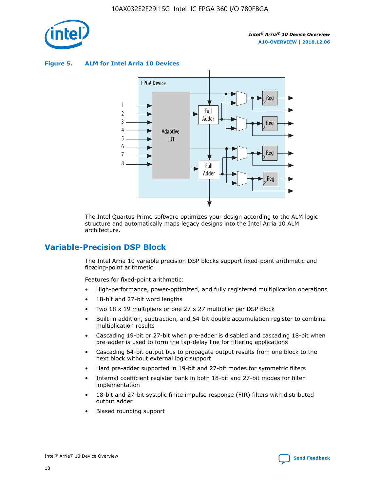

**Figure 5. ALM for Intel Arria 10 Devices**



The Intel Quartus Prime software optimizes your design according to the ALM logic structure and automatically maps legacy designs into the Intel Arria 10 ALM architecture.

# **Variable-Precision DSP Block**

The Intel Arria 10 variable precision DSP blocks support fixed-point arithmetic and floating-point arithmetic.

Features for fixed-point arithmetic:

- High-performance, power-optimized, and fully registered multiplication operations
- 18-bit and 27-bit word lengths
- Two 18 x 19 multipliers or one 27 x 27 multiplier per DSP block
- Built-in addition, subtraction, and 64-bit double accumulation register to combine multiplication results
- Cascading 19-bit or 27-bit when pre-adder is disabled and cascading 18-bit when pre-adder is used to form the tap-delay line for filtering applications
- Cascading 64-bit output bus to propagate output results from one block to the next block without external logic support
- Hard pre-adder supported in 19-bit and 27-bit modes for symmetric filters
- Internal coefficient register bank in both 18-bit and 27-bit modes for filter implementation
- 18-bit and 27-bit systolic finite impulse response (FIR) filters with distributed output adder
- Biased rounding support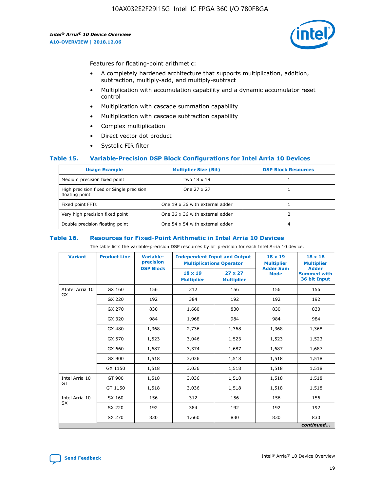

Features for floating-point arithmetic:

- A completely hardened architecture that supports multiplication, addition, subtraction, multiply-add, and multiply-subtract
- Multiplication with accumulation capability and a dynamic accumulator reset control
- Multiplication with cascade summation capability
- Multiplication with cascade subtraction capability
- Complex multiplication
- Direct vector dot product
- Systolic FIR filter

## **Table 15. Variable-Precision DSP Block Configurations for Intel Arria 10 Devices**

| <b>Usage Example</b>                                       | <b>Multiplier Size (Bit)</b>    | <b>DSP Block Resources</b> |
|------------------------------------------------------------|---------------------------------|----------------------------|
| Medium precision fixed point                               | Two 18 x 19                     |                            |
| High precision fixed or Single precision<br>floating point | One 27 x 27                     |                            |
| Fixed point FFTs                                           | One 19 x 36 with external adder |                            |
| Very high precision fixed point                            | One 36 x 36 with external adder |                            |
| Double precision floating point                            | One 54 x 54 with external adder | 4                          |

#### **Table 16. Resources for Fixed-Point Arithmetic in Intel Arria 10 Devices**

The table lists the variable-precision DSP resources by bit precision for each Intel Arria 10 device.

| <b>Variant</b>  | <b>Product Line</b> | <b>Variable-</b><br>precision<br><b>DSP Block</b> | <b>Independent Input and Output</b><br><b>Multiplications Operator</b> |                                     | 18 x 19<br><b>Multiplier</b><br><b>Adder Sum</b> | $18 \times 18$<br><b>Multiplier</b><br><b>Adder</b> |
|-----------------|---------------------|---------------------------------------------------|------------------------------------------------------------------------|-------------------------------------|--------------------------------------------------|-----------------------------------------------------|
|                 |                     |                                                   | 18 x 19<br><b>Multiplier</b>                                           | $27 \times 27$<br><b>Multiplier</b> | <b>Mode</b>                                      | <b>Summed with</b><br>36 bit Input                  |
| AIntel Arria 10 | GX 160              | 156                                               | 312                                                                    | 156                                 | 156                                              | 156                                                 |
| GX              | GX 220              | 192                                               | 384                                                                    | 192                                 | 192                                              | 192                                                 |
|                 | GX 270              | 830                                               | 1,660                                                                  | 830                                 | 830                                              | 830                                                 |
|                 | GX 320              | 984                                               | 1,968                                                                  | 984                                 | 984                                              | 984                                                 |
|                 | GX 480              | 1,368                                             | 2,736                                                                  | 1,368                               | 1,368                                            | 1,368                                               |
|                 | GX 570              | 1,523                                             | 3,046                                                                  | 1,523                               | 1,523                                            | 1,523                                               |
|                 | GX 660              | 1,687                                             | 3,374                                                                  | 1,687                               | 1,687                                            | 1,687                                               |
|                 | GX 900              | 1,518                                             | 3,036                                                                  | 1,518                               | 1,518                                            | 1,518                                               |
|                 | GX 1150             | 1,518                                             | 3,036                                                                  | 1,518                               | 1,518                                            | 1,518                                               |
| Intel Arria 10  | GT 900              | 1,518                                             | 3,036                                                                  | 1,518                               | 1,518                                            | 1,518                                               |
| GT              | GT 1150             | 1,518                                             | 3,036                                                                  | 1,518                               | 1,518                                            | 1,518                                               |
| Intel Arria 10  | SX 160              | 156                                               | 312                                                                    | 156                                 | 156                                              | 156                                                 |
| <b>SX</b>       | SX 220              | 192                                               | 384                                                                    | 192                                 | 192                                              | 192                                                 |
|                 | SX 270              | 830                                               | 1,660                                                                  | 830                                 | 830                                              | 830                                                 |
|                 |                     |                                                   |                                                                        |                                     |                                                  | continued                                           |

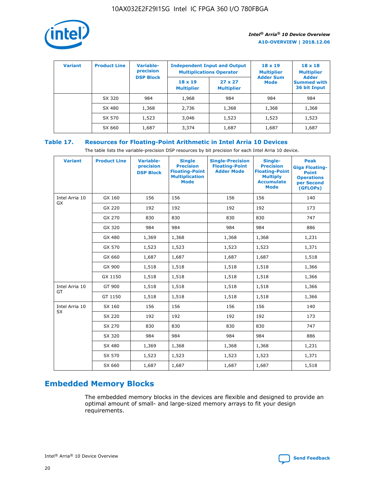

| <b>Variant</b> | <b>Product Line</b> | Variable-<br>precision | <b>Independent Input and Output</b><br><b>Multiplications Operator</b> |                                     | $18 \times 19$<br><b>Multiplier</b> | $18 \times 18$<br><b>Multiplier</b><br><b>Adder</b> |  |
|----------------|---------------------|------------------------|------------------------------------------------------------------------|-------------------------------------|-------------------------------------|-----------------------------------------------------|--|
|                |                     | <b>DSP Block</b>       | $18 \times 19$<br><b>Multiplier</b>                                    | $27 \times 27$<br><b>Multiplier</b> | <b>Adder Sum</b><br><b>Mode</b>     | <b>Summed with</b><br>36 bit Input                  |  |
|                | SX 320              | 984                    | 1,968                                                                  | 984                                 | 984                                 | 984                                                 |  |
|                | SX 480              | 1,368                  | 2,736                                                                  | 1,368                               | 1,368                               | 1,368                                               |  |
|                | SX 570              | 1,523                  | 3,046                                                                  | 1,523                               | 1,523                               | 1,523                                               |  |
|                | SX 660              | 1,687                  | 3,374                                                                  | 1,687                               | 1,687                               | 1,687                                               |  |

# **Table 17. Resources for Floating-Point Arithmetic in Intel Arria 10 Devices**

The table lists the variable-precision DSP resources by bit precision for each Intel Arria 10 device.

| <b>Variant</b> | <b>Product Line</b> | <b>Variable-</b><br>precision<br><b>DSP Block</b> | <b>Single</b><br><b>Precision</b><br><b>Floating-Point</b><br><b>Multiplication</b><br><b>Mode</b> | <b>Single-Precision</b><br><b>Floating-Point</b><br><b>Adder Mode</b> | Single-<br><b>Precision</b><br><b>Floating-Point</b><br><b>Multiply</b><br><b>Accumulate</b><br><b>Mode</b> | <b>Peak</b><br><b>Giga Floating-</b><br><b>Point</b><br><b>Operations</b><br>per Second<br>(GFLOPs) |
|----------------|---------------------|---------------------------------------------------|----------------------------------------------------------------------------------------------------|-----------------------------------------------------------------------|-------------------------------------------------------------------------------------------------------------|-----------------------------------------------------------------------------------------------------|
| Intel Arria 10 | GX 160              | 156                                               | 156                                                                                                | 156                                                                   | 156                                                                                                         | 140                                                                                                 |
| GX             | GX 220              | 192                                               | 192                                                                                                | 192                                                                   | 192                                                                                                         | 173                                                                                                 |
|                | GX 270              | 830                                               | 830                                                                                                | 830                                                                   | 830                                                                                                         | 747                                                                                                 |
|                | GX 320              | 984                                               | 984                                                                                                | 984                                                                   | 984                                                                                                         | 886                                                                                                 |
|                | GX 480              | 1,369                                             | 1,368                                                                                              | 1,368                                                                 | 1,368                                                                                                       | 1,231                                                                                               |
|                | GX 570              | 1,523                                             | 1,523                                                                                              | 1,523                                                                 | 1,523                                                                                                       | 1,371                                                                                               |
|                | GX 660              | 1,687                                             | 1,687                                                                                              | 1,687                                                                 | 1,687                                                                                                       | 1,518                                                                                               |
|                | GX 900              | 1,518                                             | 1,518                                                                                              | 1,518                                                                 | 1,518                                                                                                       | 1,366                                                                                               |
|                | GX 1150             | 1,518                                             | 1,518                                                                                              | 1,518                                                                 | 1,518                                                                                                       | 1,366                                                                                               |
| Intel Arria 10 | GT 900              | 1,518                                             | 1,518                                                                                              | 1,518                                                                 | 1,518                                                                                                       | 1,366                                                                                               |
| GT             | GT 1150             | 1,518                                             | 1,518                                                                                              | 1,518                                                                 | 1,518                                                                                                       | 1,366                                                                                               |
| Intel Arria 10 | SX 160              | 156                                               | 156                                                                                                | 156                                                                   | 156                                                                                                         | 140                                                                                                 |
| <b>SX</b>      | SX 220              | 192                                               | 192                                                                                                | 192                                                                   | 192                                                                                                         | 173                                                                                                 |
|                | SX 270              | 830                                               | 830                                                                                                | 830                                                                   | 830                                                                                                         | 747                                                                                                 |
|                | SX 320              | 984                                               | 984                                                                                                | 984                                                                   | 984                                                                                                         | 886                                                                                                 |
|                | SX 480              | 1,369                                             | 1,368                                                                                              | 1,368                                                                 | 1,368                                                                                                       | 1,231                                                                                               |
|                | SX 570              | 1,523                                             | 1,523                                                                                              | 1,523                                                                 | 1,523                                                                                                       | 1,371                                                                                               |
|                | SX 660              | 1,687                                             | 1,687                                                                                              | 1,687                                                                 | 1,687                                                                                                       | 1,518                                                                                               |

# **Embedded Memory Blocks**

The embedded memory blocks in the devices are flexible and designed to provide an optimal amount of small- and large-sized memory arrays to fit your design requirements.

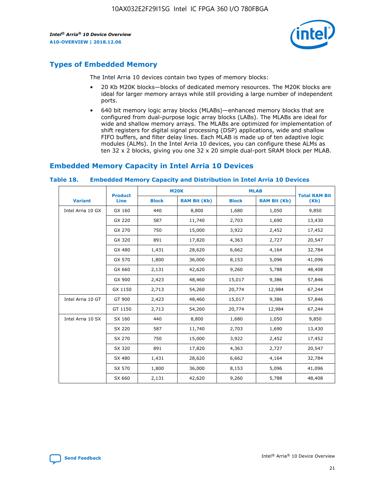

# **Types of Embedded Memory**

The Intel Arria 10 devices contain two types of memory blocks:

- 20 Kb M20K blocks—blocks of dedicated memory resources. The M20K blocks are ideal for larger memory arrays while still providing a large number of independent ports.
- 640 bit memory logic array blocks (MLABs)—enhanced memory blocks that are configured from dual-purpose logic array blocks (LABs). The MLABs are ideal for wide and shallow memory arrays. The MLABs are optimized for implementation of shift registers for digital signal processing (DSP) applications, wide and shallow FIFO buffers, and filter delay lines. Each MLAB is made up of ten adaptive logic modules (ALMs). In the Intel Arria 10 devices, you can configure these ALMs as ten 32 x 2 blocks, giving you one 32 x 20 simple dual-port SRAM block per MLAB.

# **Embedded Memory Capacity in Intel Arria 10 Devices**

|                   | <b>Product</b> |              | <b>M20K</b>         | <b>MLAB</b>  |                     | <b>Total RAM Bit</b> |
|-------------------|----------------|--------------|---------------------|--------------|---------------------|----------------------|
| <b>Variant</b>    | <b>Line</b>    | <b>Block</b> | <b>RAM Bit (Kb)</b> | <b>Block</b> | <b>RAM Bit (Kb)</b> | (Kb)                 |
| Intel Arria 10 GX | GX 160         | 440          | 8,800               | 1,680        | 1,050               | 9,850                |
|                   | GX 220         | 587          | 11,740              | 2,703        | 1,690               | 13,430               |
|                   | GX 270         | 750          | 15,000              | 3,922        | 2,452               | 17,452               |
|                   | GX 320         | 891          | 17,820              | 4,363        | 2,727               | 20,547               |
|                   | GX 480         | 1,431        | 28,620              | 6,662        | 4,164               | 32,784               |
|                   | GX 570         | 1,800        | 36,000              | 8,153        | 5,096               | 41,096               |
|                   | GX 660         | 2,131        | 42,620              | 9,260        | 5,788               | 48,408               |
|                   | GX 900         | 2,423        | 48,460              | 15,017       | 9,386               | 57,846               |
|                   | GX 1150        | 2,713        | 54,260              | 20,774       | 12,984              | 67,244               |
| Intel Arria 10 GT | GT 900         | 2,423        | 48,460              | 15,017       | 9,386               | 57,846               |
|                   | GT 1150        | 2,713        | 54,260              | 20,774       | 12,984              | 67,244               |
| Intel Arria 10 SX | SX 160         | 440          | 8,800               | 1,680        | 1,050               | 9,850                |
|                   | SX 220         | 587          | 11,740              | 2,703        | 1,690               | 13,430               |
|                   | SX 270         | 750          | 15,000              | 3,922        | 2,452               | 17,452               |
|                   | SX 320         | 891          | 17,820              | 4,363        | 2,727               | 20,547               |
|                   | SX 480         | 1,431        | 28,620              | 6,662        | 4,164               | 32,784               |
|                   | SX 570         | 1,800        | 36,000              | 8,153        | 5,096               | 41,096               |
|                   | SX 660         | 2,131        | 42,620              | 9,260        | 5,788               | 48,408               |

#### **Table 18. Embedded Memory Capacity and Distribution in Intel Arria 10 Devices**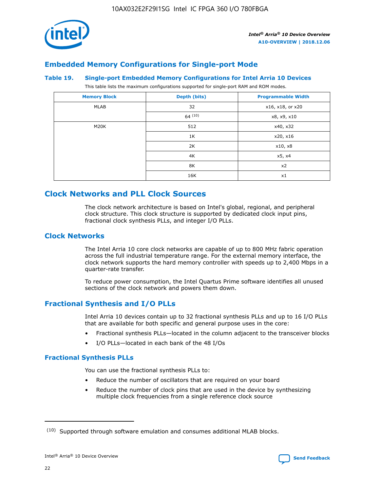

# **Embedded Memory Configurations for Single-port Mode**

#### **Table 19. Single-port Embedded Memory Configurations for Intel Arria 10 Devices**

This table lists the maximum configurations supported for single-port RAM and ROM modes.

| <b>Memory Block</b> | Depth (bits) | <b>Programmable Width</b> |
|---------------------|--------------|---------------------------|
| MLAB                | 32           | x16, x18, or x20          |
|                     | 64(10)       | x8, x9, x10               |
| M20K                | 512          | x40, x32                  |
|                     | 1K           | x20, x16                  |
|                     | 2K           | x10, x8                   |
|                     | 4K           | x5, x4                    |
|                     | 8K           | x2                        |
|                     | 16K          | x1                        |

# **Clock Networks and PLL Clock Sources**

The clock network architecture is based on Intel's global, regional, and peripheral clock structure. This clock structure is supported by dedicated clock input pins, fractional clock synthesis PLLs, and integer I/O PLLs.

# **Clock Networks**

The Intel Arria 10 core clock networks are capable of up to 800 MHz fabric operation across the full industrial temperature range. For the external memory interface, the clock network supports the hard memory controller with speeds up to 2,400 Mbps in a quarter-rate transfer.

To reduce power consumption, the Intel Quartus Prime software identifies all unused sections of the clock network and powers them down.

# **Fractional Synthesis and I/O PLLs**

Intel Arria 10 devices contain up to 32 fractional synthesis PLLs and up to 16 I/O PLLs that are available for both specific and general purpose uses in the core:

- Fractional synthesis PLLs—located in the column adjacent to the transceiver blocks
- I/O PLLs—located in each bank of the 48 I/Os

## **Fractional Synthesis PLLs**

You can use the fractional synthesis PLLs to:

- Reduce the number of oscillators that are required on your board
- Reduce the number of clock pins that are used in the device by synthesizing multiple clock frequencies from a single reference clock source

<sup>(10)</sup> Supported through software emulation and consumes additional MLAB blocks.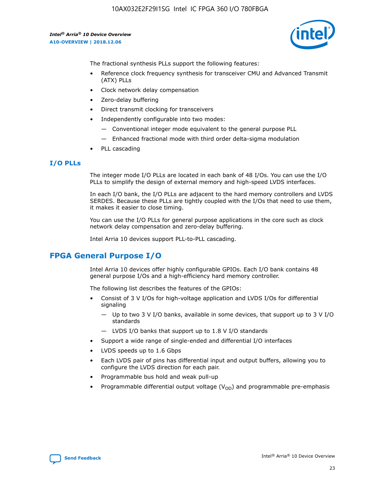10AX032E2F29I1SG Intel IC FPGA 360 I/O 780FBGA

*Intel® Arria® 10 Device Overview* **A10-OVERVIEW | 2018.12.06**



The fractional synthesis PLLs support the following features:

- Reference clock frequency synthesis for transceiver CMU and Advanced Transmit (ATX) PLLs
- Clock network delay compensation
- Zero-delay buffering
- Direct transmit clocking for transceivers
- Independently configurable into two modes:
	- Conventional integer mode equivalent to the general purpose PLL
	- Enhanced fractional mode with third order delta-sigma modulation
- PLL cascading

## **I/O PLLs**

The integer mode I/O PLLs are located in each bank of 48 I/Os. You can use the I/O PLLs to simplify the design of external memory and high-speed LVDS interfaces.

In each I/O bank, the I/O PLLs are adjacent to the hard memory controllers and LVDS SERDES. Because these PLLs are tightly coupled with the I/Os that need to use them, it makes it easier to close timing.

You can use the I/O PLLs for general purpose applications in the core such as clock network delay compensation and zero-delay buffering.

Intel Arria 10 devices support PLL-to-PLL cascading.

# **FPGA General Purpose I/O**

Intel Arria 10 devices offer highly configurable GPIOs. Each I/O bank contains 48 general purpose I/Os and a high-efficiency hard memory controller.

The following list describes the features of the GPIOs:

- Consist of 3 V I/Os for high-voltage application and LVDS I/Os for differential signaling
	- Up to two 3 V I/O banks, available in some devices, that support up to 3 V I/O standards
	- LVDS I/O banks that support up to 1.8 V I/O standards
- Support a wide range of single-ended and differential I/O interfaces
- LVDS speeds up to 1.6 Gbps
- Each LVDS pair of pins has differential input and output buffers, allowing you to configure the LVDS direction for each pair.
- Programmable bus hold and weak pull-up
- Programmable differential output voltage  $(V_{OD})$  and programmable pre-emphasis

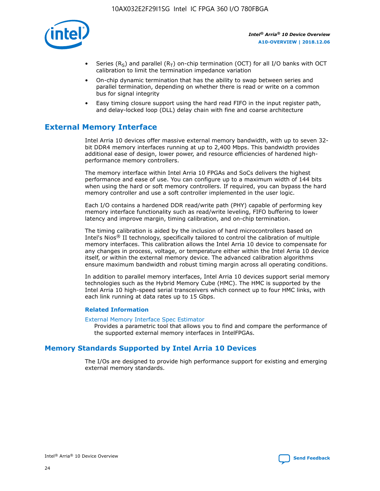

- Series (R<sub>S</sub>) and parallel (R<sub>T</sub>) on-chip termination (OCT) for all I/O banks with OCT calibration to limit the termination impedance variation
- On-chip dynamic termination that has the ability to swap between series and parallel termination, depending on whether there is read or write on a common bus for signal integrity
- Easy timing closure support using the hard read FIFO in the input register path, and delay-locked loop (DLL) delay chain with fine and coarse architecture

# **External Memory Interface**

Intel Arria 10 devices offer massive external memory bandwidth, with up to seven 32 bit DDR4 memory interfaces running at up to 2,400 Mbps. This bandwidth provides additional ease of design, lower power, and resource efficiencies of hardened highperformance memory controllers.

The memory interface within Intel Arria 10 FPGAs and SoCs delivers the highest performance and ease of use. You can configure up to a maximum width of 144 bits when using the hard or soft memory controllers. If required, you can bypass the hard memory controller and use a soft controller implemented in the user logic.

Each I/O contains a hardened DDR read/write path (PHY) capable of performing key memory interface functionality such as read/write leveling, FIFO buffering to lower latency and improve margin, timing calibration, and on-chip termination.

The timing calibration is aided by the inclusion of hard microcontrollers based on Intel's Nios® II technology, specifically tailored to control the calibration of multiple memory interfaces. This calibration allows the Intel Arria 10 device to compensate for any changes in process, voltage, or temperature either within the Intel Arria 10 device itself, or within the external memory device. The advanced calibration algorithms ensure maximum bandwidth and robust timing margin across all operating conditions.

In addition to parallel memory interfaces, Intel Arria 10 devices support serial memory technologies such as the Hybrid Memory Cube (HMC). The HMC is supported by the Intel Arria 10 high-speed serial transceivers which connect up to four HMC links, with each link running at data rates up to 15 Gbps.

## **Related Information**

#### [External Memory Interface Spec Estimator](http://www.altera.com/technology/memory/estimator/mem-emif-index.html)

Provides a parametric tool that allows you to find and compare the performance of the supported external memory interfaces in IntelFPGAs.

# **Memory Standards Supported by Intel Arria 10 Devices**

The I/Os are designed to provide high performance support for existing and emerging external memory standards.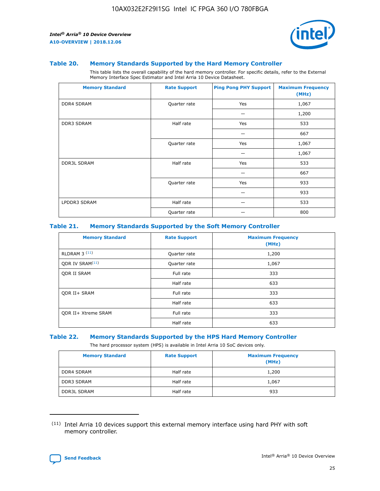

#### **Table 20. Memory Standards Supported by the Hard Memory Controller**

This table lists the overall capability of the hard memory controller. For specific details, refer to the External Memory Interface Spec Estimator and Intel Arria 10 Device Datasheet.

| <b>Memory Standard</b> | <b>Rate Support</b> | <b>Ping Pong PHY Support</b> | <b>Maximum Frequency</b><br>(MHz) |
|------------------------|---------------------|------------------------------|-----------------------------------|
| <b>DDR4 SDRAM</b>      | Quarter rate        | Yes                          | 1,067                             |
|                        |                     |                              | 1,200                             |
| DDR3 SDRAM             | Half rate           | Yes                          | 533                               |
|                        |                     |                              | 667                               |
|                        | Quarter rate        | Yes                          | 1,067                             |
|                        |                     |                              | 1,067                             |
| <b>DDR3L SDRAM</b>     | Half rate           | Yes                          | 533                               |
|                        |                     |                              | 667                               |
|                        | Quarter rate        | Yes                          | 933                               |
|                        |                     |                              | 933                               |
| LPDDR3 SDRAM           | Half rate           |                              | 533                               |
|                        | Quarter rate        |                              | 800                               |

#### **Table 21. Memory Standards Supported by the Soft Memory Controller**

| <b>Memory Standard</b>      | <b>Rate Support</b> | <b>Maximum Frequency</b><br>(MHz) |
|-----------------------------|---------------------|-----------------------------------|
| <b>RLDRAM 3 (11)</b>        | Quarter rate        | 1,200                             |
| ODR IV SRAM <sup>(11)</sup> | Quarter rate        | 1,067                             |
| <b>ODR II SRAM</b>          | Full rate           | 333                               |
|                             | Half rate           | 633                               |
| <b>ODR II+ SRAM</b>         | Full rate           | 333                               |
|                             | Half rate           | 633                               |
| <b>ODR II+ Xtreme SRAM</b>  | Full rate           | 333                               |
|                             | Half rate           | 633                               |

#### **Table 22. Memory Standards Supported by the HPS Hard Memory Controller**

The hard processor system (HPS) is available in Intel Arria 10 SoC devices only.

| <b>Memory Standard</b> | <b>Rate Support</b> | <b>Maximum Frequency</b><br>(MHz) |
|------------------------|---------------------|-----------------------------------|
| <b>DDR4 SDRAM</b>      | Half rate           | 1,200                             |
| <b>DDR3 SDRAM</b>      | Half rate           | 1,067                             |
| <b>DDR3L SDRAM</b>     | Half rate           | 933                               |

<sup>(11)</sup> Intel Arria 10 devices support this external memory interface using hard PHY with soft memory controller.

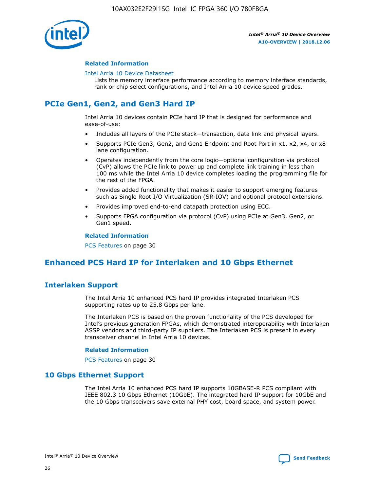

## **Related Information**

#### [Intel Arria 10 Device Datasheet](https://www.intel.com/content/www/us/en/programmable/documentation/mcn1413182292568.html#mcn1413182153340)

Lists the memory interface performance according to memory interface standards, rank or chip select configurations, and Intel Arria 10 device speed grades.

# **PCIe Gen1, Gen2, and Gen3 Hard IP**

Intel Arria 10 devices contain PCIe hard IP that is designed for performance and ease-of-use:

- Includes all layers of the PCIe stack—transaction, data link and physical layers.
- Supports PCIe Gen3, Gen2, and Gen1 Endpoint and Root Port in x1, x2, x4, or x8 lane configuration.
- Operates independently from the core logic—optional configuration via protocol (CvP) allows the PCIe link to power up and complete link training in less than 100 ms while the Intel Arria 10 device completes loading the programming file for the rest of the FPGA.
- Provides added functionality that makes it easier to support emerging features such as Single Root I/O Virtualization (SR-IOV) and optional protocol extensions.
- Provides improved end-to-end datapath protection using ECC.
- Supports FPGA configuration via protocol (CvP) using PCIe at Gen3, Gen2, or Gen1 speed.

#### **Related Information**

PCS Features on page 30

# **Enhanced PCS Hard IP for Interlaken and 10 Gbps Ethernet**

# **Interlaken Support**

The Intel Arria 10 enhanced PCS hard IP provides integrated Interlaken PCS supporting rates up to 25.8 Gbps per lane.

The Interlaken PCS is based on the proven functionality of the PCS developed for Intel's previous generation FPGAs, which demonstrated interoperability with Interlaken ASSP vendors and third-party IP suppliers. The Interlaken PCS is present in every transceiver channel in Intel Arria 10 devices.

## **Related Information**

PCS Features on page 30

# **10 Gbps Ethernet Support**

The Intel Arria 10 enhanced PCS hard IP supports 10GBASE-R PCS compliant with IEEE 802.3 10 Gbps Ethernet (10GbE). The integrated hard IP support for 10GbE and the 10 Gbps transceivers save external PHY cost, board space, and system power.

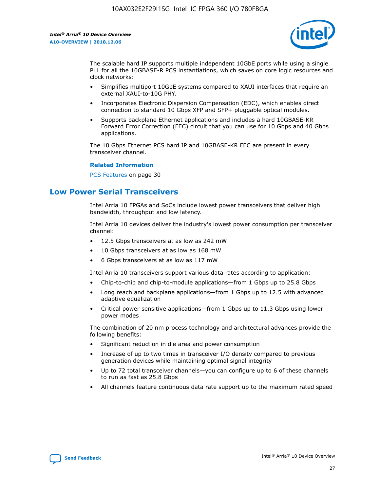

The scalable hard IP supports multiple independent 10GbE ports while using a single PLL for all the 10GBASE-R PCS instantiations, which saves on core logic resources and clock networks:

- Simplifies multiport 10GbE systems compared to XAUI interfaces that require an external XAUI-to-10G PHY.
- Incorporates Electronic Dispersion Compensation (EDC), which enables direct connection to standard 10 Gbps XFP and SFP+ pluggable optical modules.
- Supports backplane Ethernet applications and includes a hard 10GBASE-KR Forward Error Correction (FEC) circuit that you can use for 10 Gbps and 40 Gbps applications.

The 10 Gbps Ethernet PCS hard IP and 10GBASE-KR FEC are present in every transceiver channel.

#### **Related Information**

PCS Features on page 30

# **Low Power Serial Transceivers**

Intel Arria 10 FPGAs and SoCs include lowest power transceivers that deliver high bandwidth, throughput and low latency.

Intel Arria 10 devices deliver the industry's lowest power consumption per transceiver channel:

- 12.5 Gbps transceivers at as low as 242 mW
- 10 Gbps transceivers at as low as 168 mW
- 6 Gbps transceivers at as low as 117 mW

Intel Arria 10 transceivers support various data rates according to application:

- Chip-to-chip and chip-to-module applications—from 1 Gbps up to 25.8 Gbps
- Long reach and backplane applications—from 1 Gbps up to 12.5 with advanced adaptive equalization
- Critical power sensitive applications—from 1 Gbps up to 11.3 Gbps using lower power modes

The combination of 20 nm process technology and architectural advances provide the following benefits:

- Significant reduction in die area and power consumption
- Increase of up to two times in transceiver I/O density compared to previous generation devices while maintaining optimal signal integrity
- Up to 72 total transceiver channels—you can configure up to 6 of these channels to run as fast as 25.8 Gbps
- All channels feature continuous data rate support up to the maximum rated speed

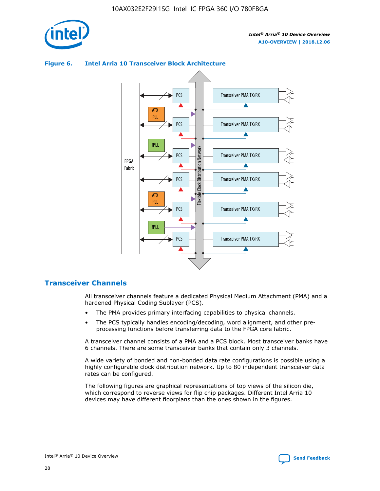

# Transceiver PMA TX/RX PCS ATX PLL Transceiver PMA TX/RX PCS fPLL Network Flexible Clock Distribution Network PCS Transceiver PMA TX/RX FPGA **Clock Distribution** Fabric PCS Transceiver PMA TX/RX ATX Flexible PLL PCS Transceiver PMA TX/RX ▲ fPLL Transceiver PMA TX/RX PCS 4

## **Figure 6. Intel Arria 10 Transceiver Block Architecture**

# **Transceiver Channels**

All transceiver channels feature a dedicated Physical Medium Attachment (PMA) and a hardened Physical Coding Sublayer (PCS).

- The PMA provides primary interfacing capabilities to physical channels.
- The PCS typically handles encoding/decoding, word alignment, and other preprocessing functions before transferring data to the FPGA core fabric.

A transceiver channel consists of a PMA and a PCS block. Most transceiver banks have 6 channels. There are some transceiver banks that contain only 3 channels.

A wide variety of bonded and non-bonded data rate configurations is possible using a highly configurable clock distribution network. Up to 80 independent transceiver data rates can be configured.

The following figures are graphical representations of top views of the silicon die, which correspond to reverse views for flip chip packages. Different Intel Arria 10 devices may have different floorplans than the ones shown in the figures.

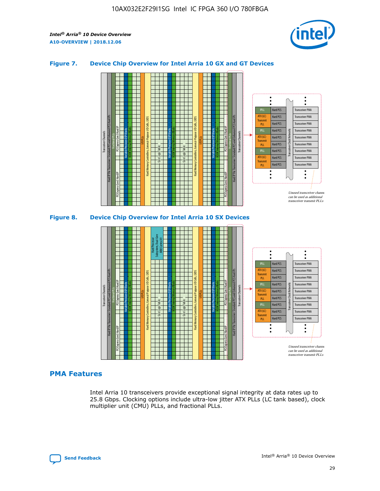

## **Figure 7. Device Chip Overview for Intel Arria 10 GX and GT Devices**





## **PMA Features**

Intel Arria 10 transceivers provide exceptional signal integrity at data rates up to 25.8 Gbps. Clocking options include ultra-low jitter ATX PLLs (LC tank based), clock multiplier unit (CMU) PLLs, and fractional PLLs.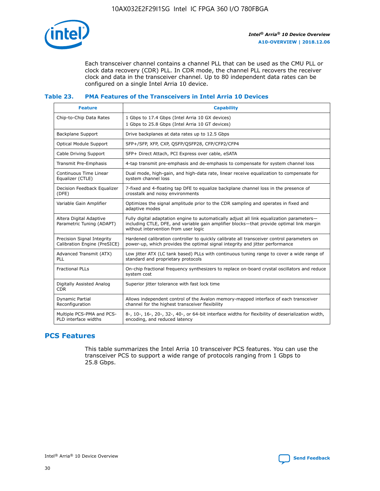

Each transceiver channel contains a channel PLL that can be used as the CMU PLL or clock data recovery (CDR) PLL. In CDR mode, the channel PLL recovers the receiver clock and data in the transceiver channel. Up to 80 independent data rates can be configured on a single Intel Arria 10 device.

## **Table 23. PMA Features of the Transceivers in Intel Arria 10 Devices**

| <b>Feature</b>                                             | <b>Capability</b>                                                                                                                                                                                                             |
|------------------------------------------------------------|-------------------------------------------------------------------------------------------------------------------------------------------------------------------------------------------------------------------------------|
| Chip-to-Chip Data Rates                                    | 1 Gbps to 17.4 Gbps (Intel Arria 10 GX devices)<br>1 Gbps to 25.8 Gbps (Intel Arria 10 GT devices)                                                                                                                            |
| <b>Backplane Support</b>                                   | Drive backplanes at data rates up to 12.5 Gbps                                                                                                                                                                                |
| <b>Optical Module Support</b>                              | SFP+/SFP, XFP, CXP, QSFP/QSFP28, CFP/CFP2/CFP4                                                                                                                                                                                |
| Cable Driving Support                                      | SFP+ Direct Attach, PCI Express over cable, eSATA                                                                                                                                                                             |
| Transmit Pre-Emphasis                                      | 4-tap transmit pre-emphasis and de-emphasis to compensate for system channel loss                                                                                                                                             |
| Continuous Time Linear<br>Equalizer (CTLE)                 | Dual mode, high-gain, and high-data rate, linear receive equalization to compensate for<br>system channel loss                                                                                                                |
| Decision Feedback Equalizer<br>(DFE)                       | 7-fixed and 4-floating tap DFE to equalize backplane channel loss in the presence of<br>crosstalk and noisy environments                                                                                                      |
| Variable Gain Amplifier                                    | Optimizes the signal amplitude prior to the CDR sampling and operates in fixed and<br>adaptive modes                                                                                                                          |
| Altera Digital Adaptive<br>Parametric Tuning (ADAPT)       | Fully digital adaptation engine to automatically adjust all link equalization parameters-<br>including CTLE, DFE, and variable gain amplifier blocks—that provide optimal link margin<br>without intervention from user logic |
| Precision Signal Integrity<br>Calibration Engine (PreSICE) | Hardened calibration controller to quickly calibrate all transceiver control parameters on<br>power-up, which provides the optimal signal integrity and jitter performance                                                    |
| Advanced Transmit (ATX)<br>PLL                             | Low jitter ATX (LC tank based) PLLs with continuous tuning range to cover a wide range of<br>standard and proprietary protocols                                                                                               |
| <b>Fractional PLLs</b>                                     | On-chip fractional frequency synthesizers to replace on-board crystal oscillators and reduce<br>system cost                                                                                                                   |
| Digitally Assisted Analog<br><b>CDR</b>                    | Superior jitter tolerance with fast lock time                                                                                                                                                                                 |
| Dynamic Partial<br>Reconfiguration                         | Allows independent control of the Avalon memory-mapped interface of each transceiver<br>channel for the highest transceiver flexibility                                                                                       |
| Multiple PCS-PMA and PCS-<br>PLD interface widths          | 8-, 10-, 16-, 20-, 32-, 40-, or 64-bit interface widths for flexibility of deserialization width,<br>encoding, and reduced latency                                                                                            |

# **PCS Features**

This table summarizes the Intel Arria 10 transceiver PCS features. You can use the transceiver PCS to support a wide range of protocols ranging from 1 Gbps to 25.8 Gbps.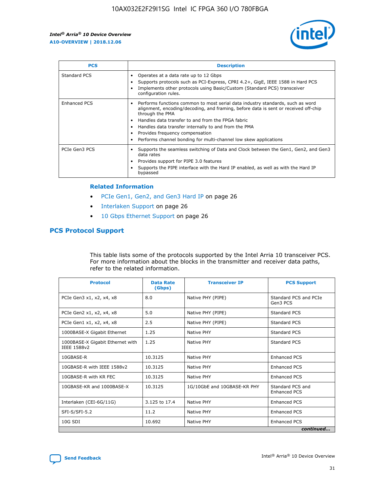

| <b>PCS</b>          | <b>Description</b>                                                                                                                                                                                                                                                                                                                                                                                             |
|---------------------|----------------------------------------------------------------------------------------------------------------------------------------------------------------------------------------------------------------------------------------------------------------------------------------------------------------------------------------------------------------------------------------------------------------|
| Standard PCS        | Operates at a data rate up to 12 Gbps<br>Supports protocols such as PCI-Express, CPRI 4.2+, GigE, IEEE 1588 in Hard PCS<br>Implements other protocols using Basic/Custom (Standard PCS) transceiver<br>configuration rules.                                                                                                                                                                                    |
| <b>Enhanced PCS</b> | Performs functions common to most serial data industry standards, such as word<br>alignment, encoding/decoding, and framing, before data is sent or received off-chip<br>through the PMA<br>• Handles data transfer to and from the FPGA fabric<br>Handles data transfer internally to and from the PMA<br>Provides frequency compensation<br>Performs channel bonding for multi-channel low skew applications |
| PCIe Gen3 PCS       | Supports the seamless switching of Data and Clock between the Gen1, Gen2, and Gen3<br>data rates<br>Provides support for PIPE 3.0 features<br>Supports the PIPE interface with the Hard IP enabled, as well as with the Hard IP<br>bypassed                                                                                                                                                                    |

#### **Related Information**

- PCIe Gen1, Gen2, and Gen3 Hard IP on page 26
- Interlaken Support on page 26
- 10 Gbps Ethernet Support on page 26

# **PCS Protocol Support**

This table lists some of the protocols supported by the Intel Arria 10 transceiver PCS. For more information about the blocks in the transmitter and receiver data paths, refer to the related information.

| <b>Protocol</b>                                 | <b>Data Rate</b><br>(Gbps) | <b>Transceiver IP</b>       | <b>PCS Support</b>                      |
|-------------------------------------------------|----------------------------|-----------------------------|-----------------------------------------|
| PCIe Gen3 x1, x2, x4, x8                        | 8.0                        | Native PHY (PIPE)           | Standard PCS and PCIe<br>Gen3 PCS       |
| PCIe Gen2 x1, x2, x4, x8                        | 5.0                        | Native PHY (PIPE)           | <b>Standard PCS</b>                     |
| PCIe Gen1 x1, x2, x4, x8                        | 2.5                        | Native PHY (PIPE)           | Standard PCS                            |
| 1000BASE-X Gigabit Ethernet                     | 1.25                       | Native PHY                  | <b>Standard PCS</b>                     |
| 1000BASE-X Gigabit Ethernet with<br>IEEE 1588v2 | 1.25                       | Native PHY                  | Standard PCS                            |
| 10GBASE-R                                       | 10.3125                    | Native PHY                  | <b>Enhanced PCS</b>                     |
| 10GBASE-R with IEEE 1588v2                      | 10.3125                    | Native PHY                  | <b>Enhanced PCS</b>                     |
| 10GBASE-R with KR FEC                           | 10.3125                    | Native PHY                  | <b>Enhanced PCS</b>                     |
| 10GBASE-KR and 1000BASE-X                       | 10.3125                    | 1G/10GbE and 10GBASE-KR PHY | Standard PCS and<br><b>Enhanced PCS</b> |
| Interlaken (CEI-6G/11G)                         | 3.125 to 17.4              | Native PHY                  | <b>Enhanced PCS</b>                     |
| SFI-S/SFI-5.2                                   | 11.2                       | Native PHY                  | <b>Enhanced PCS</b>                     |
| $10G$ SDI                                       | 10.692                     | Native PHY                  | <b>Enhanced PCS</b>                     |
|                                                 |                            |                             | continued                               |

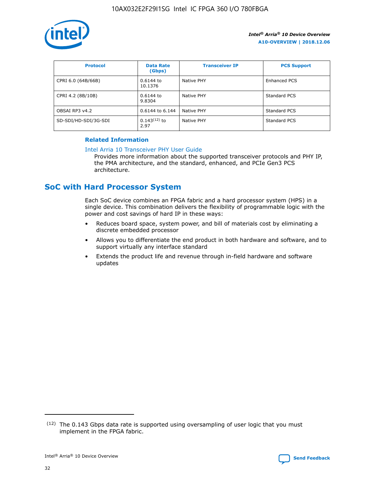

| <b>Protocol</b>      | <b>Data Rate</b><br>(Gbps) | <b>Transceiver IP</b> | <b>PCS Support</b> |
|----------------------|----------------------------|-----------------------|--------------------|
| CPRI 6.0 (64B/66B)   | 0.6144 to<br>10.1376       | Native PHY            | Enhanced PCS       |
| CPRI 4.2 (8B/10B)    | 0.6144 to<br>9.8304        | Native PHY            | Standard PCS       |
| OBSAI RP3 v4.2       | 0.6144 to 6.144            | Native PHY            | Standard PCS       |
| SD-SDI/HD-SDI/3G-SDI | $0.143(12)$ to<br>2.97     | Native PHY            | Standard PCS       |

## **Related Information**

#### [Intel Arria 10 Transceiver PHY User Guide](https://www.intel.com/content/www/us/en/programmable/documentation/nik1398707230472.html#nik1398707091164)

Provides more information about the supported transceiver protocols and PHY IP, the PMA architecture, and the standard, enhanced, and PCIe Gen3 PCS architecture.

# **SoC with Hard Processor System**

Each SoC device combines an FPGA fabric and a hard processor system (HPS) in a single device. This combination delivers the flexibility of programmable logic with the power and cost savings of hard IP in these ways:

- Reduces board space, system power, and bill of materials cost by eliminating a discrete embedded processor
- Allows you to differentiate the end product in both hardware and software, and to support virtually any interface standard
- Extends the product life and revenue through in-field hardware and software updates

 $(12)$  The 0.143 Gbps data rate is supported using oversampling of user logic that you must implement in the FPGA fabric.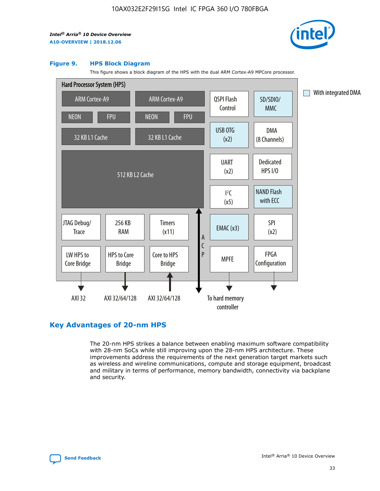

#### **Figure 9. HPS Block Diagram**

This figure shows a block diagram of the HPS with the dual ARM Cortex-A9 MPCore processor.



# **Key Advantages of 20-nm HPS**

The 20-nm HPS strikes a balance between enabling maximum software compatibility with 28-nm SoCs while still improving upon the 28-nm HPS architecture. These improvements address the requirements of the next generation target markets such as wireless and wireline communications, compute and storage equipment, broadcast and military in terms of performance, memory bandwidth, connectivity via backplane and security.

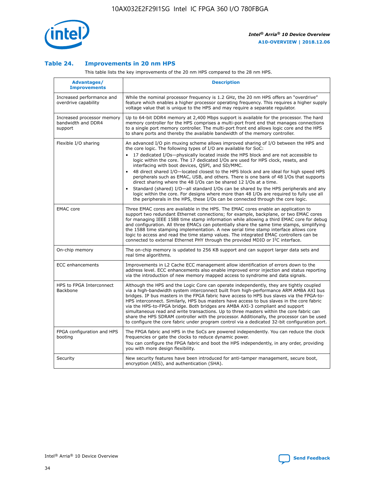

## **Table 24. Improvements in 20 nm HPS**

This table lists the key improvements of the 20 nm HPS compared to the 28 nm HPS.

| Advantages/<br><b>Improvements</b>                          | <b>Description</b>                                                                                                                                                                                                                                                                                                                                                                                                                                                                                                                                                                                                                                                                                                                                                                                                                                                                                                      |
|-------------------------------------------------------------|-------------------------------------------------------------------------------------------------------------------------------------------------------------------------------------------------------------------------------------------------------------------------------------------------------------------------------------------------------------------------------------------------------------------------------------------------------------------------------------------------------------------------------------------------------------------------------------------------------------------------------------------------------------------------------------------------------------------------------------------------------------------------------------------------------------------------------------------------------------------------------------------------------------------------|
| Increased performance and<br>overdrive capability           | While the nominal processor frequency is 1.2 GHz, the 20 nm HPS offers an "overdrive"<br>feature which enables a higher processor operating frequency. This requires a higher supply<br>voltage value that is unique to the HPS and may require a separate regulator.                                                                                                                                                                                                                                                                                                                                                                                                                                                                                                                                                                                                                                                   |
| Increased processor memory<br>bandwidth and DDR4<br>support | Up to 64-bit DDR4 memory at 2,400 Mbps support is available for the processor. The hard<br>memory controller for the HPS comprises a multi-port front end that manages connections<br>to a single port memory controller. The multi-port front end allows logic core and the HPS<br>to share ports and thereby the available bandwidth of the memory controller.                                                                                                                                                                                                                                                                                                                                                                                                                                                                                                                                                        |
| Flexible I/O sharing                                        | An advanced I/O pin muxing scheme allows improved sharing of I/O between the HPS and<br>the core logic. The following types of I/O are available for SoC:<br>17 dedicated I/Os-physically located inside the HPS block and are not accessible to<br>logic within the core. The 17 dedicated I/Os are used for HPS clock, resets, and<br>interfacing with boot devices, QSPI, and SD/MMC.<br>48 direct shared I/O-located closest to the HPS block and are ideal for high speed HPS<br>peripherals such as EMAC, USB, and others. There is one bank of 48 I/Os that supports<br>direct sharing where the 48 I/Os can be shared 12 I/Os at a time.<br>Standard (shared) I/O-all standard I/Os can be shared by the HPS peripherals and any<br>logic within the core. For designs where more than 48 I/Os are required to fully use all<br>the peripherals in the HPS, these I/Os can be connected through the core logic. |
| <b>EMAC</b> core                                            | Three EMAC cores are available in the HPS. The EMAC cores enable an application to<br>support two redundant Ethernet connections; for example, backplane, or two EMAC cores<br>for managing IEEE 1588 time stamp information while allowing a third EMAC core for debug<br>and configuration. All three EMACs can potentially share the same time stamps, simplifying<br>the 1588 time stamping implementation. A new serial time stamp interface allows core<br>logic to access and read the time stamp values. The integrated EMAC controllers can be<br>connected to external Ethernet PHY through the provided MDIO or I <sup>2</sup> C interface.                                                                                                                                                                                                                                                                  |
| On-chip memory                                              | The on-chip memory is updated to 256 KB support and can support larger data sets and<br>real time algorithms.                                                                                                                                                                                                                                                                                                                                                                                                                                                                                                                                                                                                                                                                                                                                                                                                           |
| <b>ECC</b> enhancements                                     | Improvements in L2 Cache ECC management allow identification of errors down to the<br>address level. ECC enhancements also enable improved error injection and status reporting<br>via the introduction of new memory mapped access to syndrome and data signals.                                                                                                                                                                                                                                                                                                                                                                                                                                                                                                                                                                                                                                                       |
| HPS to FPGA Interconnect<br>Backbone                        | Although the HPS and the Logic Core can operate independently, they are tightly coupled<br>via a high-bandwidth system interconnect built from high-performance ARM AMBA AXI bus<br>bridges. IP bus masters in the FPGA fabric have access to HPS bus slaves via the FPGA-to-<br>HPS interconnect. Similarly, HPS bus masters have access to bus slaves in the core fabric<br>via the HPS-to-FPGA bridge. Both bridges are AMBA AXI-3 compliant and support<br>simultaneous read and write transactions. Up to three masters within the core fabric can<br>share the HPS SDRAM controller with the processor. Additionally, the processor can be used<br>to configure the core fabric under program control via a dedicated 32-bit configuration port.                                                                                                                                                                  |
| FPGA configuration and HPS<br>booting                       | The FPGA fabric and HPS in the SoCs are powered independently. You can reduce the clock<br>frequencies or gate the clocks to reduce dynamic power.<br>You can configure the FPGA fabric and boot the HPS independently, in any order, providing<br>you with more design flexibility.                                                                                                                                                                                                                                                                                                                                                                                                                                                                                                                                                                                                                                    |
| Security                                                    | New security features have been introduced for anti-tamper management, secure boot,<br>encryption (AES), and authentication (SHA).                                                                                                                                                                                                                                                                                                                                                                                                                                                                                                                                                                                                                                                                                                                                                                                      |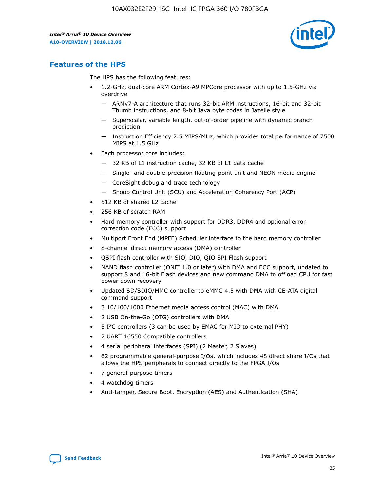

# **Features of the HPS**

The HPS has the following features:

- 1.2-GHz, dual-core ARM Cortex-A9 MPCore processor with up to 1.5-GHz via overdrive
	- ARMv7-A architecture that runs 32-bit ARM instructions, 16-bit and 32-bit Thumb instructions, and 8-bit Java byte codes in Jazelle style
	- Superscalar, variable length, out-of-order pipeline with dynamic branch prediction
	- Instruction Efficiency 2.5 MIPS/MHz, which provides total performance of 7500 MIPS at 1.5 GHz
- Each processor core includes:
	- 32 KB of L1 instruction cache, 32 KB of L1 data cache
	- Single- and double-precision floating-point unit and NEON media engine
	- CoreSight debug and trace technology
	- Snoop Control Unit (SCU) and Acceleration Coherency Port (ACP)
- 512 KB of shared L2 cache
- 256 KB of scratch RAM
- Hard memory controller with support for DDR3, DDR4 and optional error correction code (ECC) support
- Multiport Front End (MPFE) Scheduler interface to the hard memory controller
- 8-channel direct memory access (DMA) controller
- QSPI flash controller with SIO, DIO, QIO SPI Flash support
- NAND flash controller (ONFI 1.0 or later) with DMA and ECC support, updated to support 8 and 16-bit Flash devices and new command DMA to offload CPU for fast power down recovery
- Updated SD/SDIO/MMC controller to eMMC 4.5 with DMA with CE-ATA digital command support
- 3 10/100/1000 Ethernet media access control (MAC) with DMA
- 2 USB On-the-Go (OTG) controllers with DMA
- $\bullet$  5 I<sup>2</sup>C controllers (3 can be used by EMAC for MIO to external PHY)
- 2 UART 16550 Compatible controllers
- 4 serial peripheral interfaces (SPI) (2 Master, 2 Slaves)
- 62 programmable general-purpose I/Os, which includes 48 direct share I/Os that allows the HPS peripherals to connect directly to the FPGA I/Os
- 7 general-purpose timers
- 4 watchdog timers
- Anti-tamper, Secure Boot, Encryption (AES) and Authentication (SHA)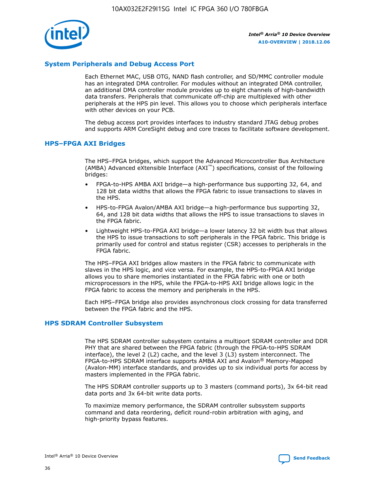

# **System Peripherals and Debug Access Port**

Each Ethernet MAC, USB OTG, NAND flash controller, and SD/MMC controller module has an integrated DMA controller. For modules without an integrated DMA controller, an additional DMA controller module provides up to eight channels of high-bandwidth data transfers. Peripherals that communicate off-chip are multiplexed with other peripherals at the HPS pin level. This allows you to choose which peripherals interface with other devices on your PCB.

The debug access port provides interfaces to industry standard JTAG debug probes and supports ARM CoreSight debug and core traces to facilitate software development.

#### **HPS–FPGA AXI Bridges**

The HPS–FPGA bridges, which support the Advanced Microcontroller Bus Architecture (AMBA) Advanced eXtensible Interface (AXI™) specifications, consist of the following bridges:

- FPGA-to-HPS AMBA AXI bridge—a high-performance bus supporting 32, 64, and 128 bit data widths that allows the FPGA fabric to issue transactions to slaves in the HPS.
- HPS-to-FPGA Avalon/AMBA AXI bridge—a high-performance bus supporting 32, 64, and 128 bit data widths that allows the HPS to issue transactions to slaves in the FPGA fabric.
- Lightweight HPS-to-FPGA AXI bridge—a lower latency 32 bit width bus that allows the HPS to issue transactions to soft peripherals in the FPGA fabric. This bridge is primarily used for control and status register (CSR) accesses to peripherals in the FPGA fabric.

The HPS–FPGA AXI bridges allow masters in the FPGA fabric to communicate with slaves in the HPS logic, and vice versa. For example, the HPS-to-FPGA AXI bridge allows you to share memories instantiated in the FPGA fabric with one or both microprocessors in the HPS, while the FPGA-to-HPS AXI bridge allows logic in the FPGA fabric to access the memory and peripherals in the HPS.

Each HPS–FPGA bridge also provides asynchronous clock crossing for data transferred between the FPGA fabric and the HPS.

#### **HPS SDRAM Controller Subsystem**

The HPS SDRAM controller subsystem contains a multiport SDRAM controller and DDR PHY that are shared between the FPGA fabric (through the FPGA-to-HPS SDRAM interface), the level 2 (L2) cache, and the level 3 (L3) system interconnect. The FPGA-to-HPS SDRAM interface supports AMBA AXI and Avalon® Memory-Mapped (Avalon-MM) interface standards, and provides up to six individual ports for access by masters implemented in the FPGA fabric.

The HPS SDRAM controller supports up to 3 masters (command ports), 3x 64-bit read data ports and 3x 64-bit write data ports.

To maximize memory performance, the SDRAM controller subsystem supports command and data reordering, deficit round-robin arbitration with aging, and high-priority bypass features.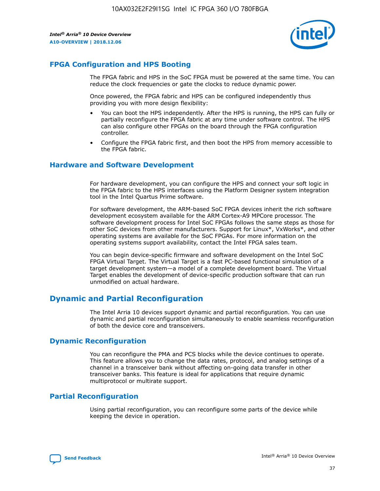

# **FPGA Configuration and HPS Booting**

The FPGA fabric and HPS in the SoC FPGA must be powered at the same time. You can reduce the clock frequencies or gate the clocks to reduce dynamic power.

Once powered, the FPGA fabric and HPS can be configured independently thus providing you with more design flexibility:

- You can boot the HPS independently. After the HPS is running, the HPS can fully or partially reconfigure the FPGA fabric at any time under software control. The HPS can also configure other FPGAs on the board through the FPGA configuration controller.
- Configure the FPGA fabric first, and then boot the HPS from memory accessible to the FPGA fabric.

# **Hardware and Software Development**

For hardware development, you can configure the HPS and connect your soft logic in the FPGA fabric to the HPS interfaces using the Platform Designer system integration tool in the Intel Quartus Prime software.

For software development, the ARM-based SoC FPGA devices inherit the rich software development ecosystem available for the ARM Cortex-A9 MPCore processor. The software development process for Intel SoC FPGAs follows the same steps as those for other SoC devices from other manufacturers. Support for Linux\*, VxWorks\*, and other operating systems are available for the SoC FPGAs. For more information on the operating systems support availability, contact the Intel FPGA sales team.

You can begin device-specific firmware and software development on the Intel SoC FPGA Virtual Target. The Virtual Target is a fast PC-based functional simulation of a target development system—a model of a complete development board. The Virtual Target enables the development of device-specific production software that can run unmodified on actual hardware.

# **Dynamic and Partial Reconfiguration**

The Intel Arria 10 devices support dynamic and partial reconfiguration. You can use dynamic and partial reconfiguration simultaneously to enable seamless reconfiguration of both the device core and transceivers.

# **Dynamic Reconfiguration**

You can reconfigure the PMA and PCS blocks while the device continues to operate. This feature allows you to change the data rates, protocol, and analog settings of a channel in a transceiver bank without affecting on-going data transfer in other transceiver banks. This feature is ideal for applications that require dynamic multiprotocol or multirate support.

# **Partial Reconfiguration**

Using partial reconfiguration, you can reconfigure some parts of the device while keeping the device in operation.

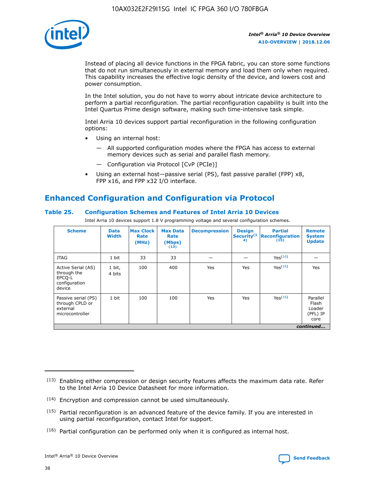

Instead of placing all device functions in the FPGA fabric, you can store some functions that do not run simultaneously in external memory and load them only when required. This capability increases the effective logic density of the device, and lowers cost and power consumption.

In the Intel solution, you do not have to worry about intricate device architecture to perform a partial reconfiguration. The partial reconfiguration capability is built into the Intel Quartus Prime design software, making such time-intensive task simple.

Intel Arria 10 devices support partial reconfiguration in the following configuration options:

- Using an internal host:
	- All supported configuration modes where the FPGA has access to external memory devices such as serial and parallel flash memory.
	- Configuration via Protocol [CvP (PCIe)]
- Using an external host—passive serial (PS), fast passive parallel (FPP) x8, FPP x16, and FPP x32 I/O interface.

# **Enhanced Configuration and Configuration via Protocol**

## **Table 25. Configuration Schemes and Features of Intel Arria 10 Devices**

Intel Arria 10 devices support 1.8 V programming voltage and several configuration schemes.

| <b>Scheme</b>                                                          | <b>Data</b><br><b>Width</b> | <b>Max Clock</b><br>Rate<br>(MHz) | <b>Max Data</b><br>Rate<br>(Mbps)<br>(13) | <b>Decompression</b> | <b>Design</b><br>Security <sup>(1</sup><br>4) | <b>Partial</b><br><b>Reconfiguration</b><br>(15) | <b>Remote</b><br><b>System</b><br><b>Update</b> |
|------------------------------------------------------------------------|-----------------------------|-----------------------------------|-------------------------------------------|----------------------|-----------------------------------------------|--------------------------------------------------|-------------------------------------------------|
| <b>JTAG</b>                                                            | 1 bit                       | 33                                | 33                                        |                      |                                               | Yes(16)                                          |                                                 |
| Active Serial (AS)<br>through the<br>EPCO-L<br>configuration<br>device | 1 bit,<br>4 bits            | 100                               | 400                                       | Yes                  | Yes                                           | Yes(16)                                          | Yes                                             |
| Passive serial (PS)<br>through CPLD or<br>external<br>microcontroller  | 1 bit                       | 100                               | 100                                       | Yes                  | Yes                                           | Yes <sup>(16)</sup>                              | Parallel<br>Flash<br>Loader<br>(PFL) IP<br>core |
|                                                                        |                             |                                   |                                           |                      |                                               |                                                  | continued                                       |

<sup>(13)</sup> Enabling either compression or design security features affects the maximum data rate. Refer to the Intel Arria 10 Device Datasheet for more information.

<sup>(14)</sup> Encryption and compression cannot be used simultaneously.

 $(15)$  Partial reconfiguration is an advanced feature of the device family. If you are interested in using partial reconfiguration, contact Intel for support.

 $(16)$  Partial configuration can be performed only when it is configured as internal host.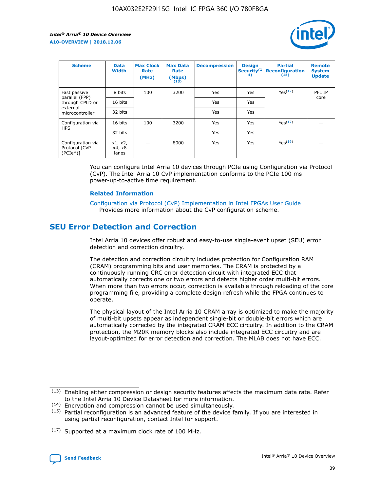

| <b>Scheme</b>                                   | <b>Data</b><br><b>Width</b> | <b>Max Clock</b><br>Rate<br>(MHz) | <b>Max Data</b><br>Rate<br>(Mbps)<br>(13) | <b>Decompression</b> | <b>Design</b><br>Security <sup>(1</sup><br>4) | <b>Partial</b><br><b>Reconfiguration</b><br>(15) | <b>Remote</b><br><b>System</b><br><b>Update</b> |
|-------------------------------------------------|-----------------------------|-----------------------------------|-------------------------------------------|----------------------|-----------------------------------------------|--------------------------------------------------|-------------------------------------------------|
| Fast passive                                    | 8 bits                      | 100                               | 3200                                      | Yes                  | Yes                                           | Yes(17)                                          | PFL IP                                          |
| parallel (FPP)<br>through CPLD or               | 16 bits                     |                                   |                                           | Yes                  | Yes                                           |                                                  | core                                            |
| external<br>microcontroller                     | 32 bits                     |                                   |                                           | Yes                  | Yes                                           |                                                  |                                                 |
| Configuration via                               | 16 bits                     | 100                               | 3200                                      | Yes                  | Yes                                           | Yes <sup>(17)</sup>                              |                                                 |
| <b>HPS</b>                                      | 32 bits                     |                                   |                                           | Yes                  | Yes                                           |                                                  |                                                 |
| Configuration via<br>Protocol [CvP<br>$(PCIe*)$ | x1, x2,<br>x4, x8<br>lanes  |                                   | 8000                                      | Yes                  | Yes                                           | Yes <sup>(16)</sup>                              |                                                 |

You can configure Intel Arria 10 devices through PCIe using Configuration via Protocol (CvP). The Intel Arria 10 CvP implementation conforms to the PCIe 100 ms power-up-to-active time requirement.

#### **Related Information**

[Configuration via Protocol \(CvP\) Implementation in Intel FPGAs User Guide](https://www.intel.com/content/www/us/en/programmable/documentation/dsu1441819344145.html#dsu1442269728522) Provides more information about the CvP configuration scheme.

# **SEU Error Detection and Correction**

Intel Arria 10 devices offer robust and easy-to-use single-event upset (SEU) error detection and correction circuitry.

The detection and correction circuitry includes protection for Configuration RAM (CRAM) programming bits and user memories. The CRAM is protected by a continuously running CRC error detection circuit with integrated ECC that automatically corrects one or two errors and detects higher order multi-bit errors. When more than two errors occur, correction is available through reloading of the core programming file, providing a complete design refresh while the FPGA continues to operate.

The physical layout of the Intel Arria 10 CRAM array is optimized to make the majority of multi-bit upsets appear as independent single-bit or double-bit errors which are automatically corrected by the integrated CRAM ECC circuitry. In addition to the CRAM protection, the M20K memory blocks also include integrated ECC circuitry and are layout-optimized for error detection and correction. The MLAB does not have ECC.

(14) Encryption and compression cannot be used simultaneously.

<sup>(17)</sup> Supported at a maximum clock rate of 100 MHz.



 $(13)$  Enabling either compression or design security features affects the maximum data rate. Refer to the Intel Arria 10 Device Datasheet for more information.

 $(15)$  Partial reconfiguration is an advanced feature of the device family. If you are interested in using partial reconfiguration, contact Intel for support.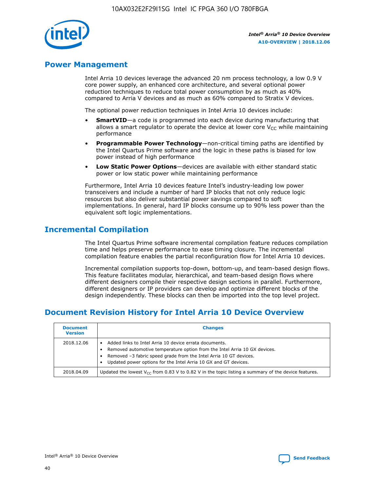

# **Power Management**

Intel Arria 10 devices leverage the advanced 20 nm process technology, a low 0.9 V core power supply, an enhanced core architecture, and several optional power reduction techniques to reduce total power consumption by as much as 40% compared to Arria V devices and as much as 60% compared to Stratix V devices.

The optional power reduction techniques in Intel Arria 10 devices include:

- **SmartVID**—a code is programmed into each device during manufacturing that allows a smart regulator to operate the device at lower core  $V_{CC}$  while maintaining performance
- **Programmable Power Technology**—non-critical timing paths are identified by the Intel Quartus Prime software and the logic in these paths is biased for low power instead of high performance
- **Low Static Power Options**—devices are available with either standard static power or low static power while maintaining performance

Furthermore, Intel Arria 10 devices feature Intel's industry-leading low power transceivers and include a number of hard IP blocks that not only reduce logic resources but also deliver substantial power savings compared to soft implementations. In general, hard IP blocks consume up to 90% less power than the equivalent soft logic implementations.

# **Incremental Compilation**

The Intel Quartus Prime software incremental compilation feature reduces compilation time and helps preserve performance to ease timing closure. The incremental compilation feature enables the partial reconfiguration flow for Intel Arria 10 devices.

Incremental compilation supports top-down, bottom-up, and team-based design flows. This feature facilitates modular, hierarchical, and team-based design flows where different designers compile their respective design sections in parallel. Furthermore, different designers or IP providers can develop and optimize different blocks of the design independently. These blocks can then be imported into the top level project.

# **Document Revision History for Intel Arria 10 Device Overview**

| <b>Document</b><br><b>Version</b> | <b>Changes</b>                                                                                                                                                                                                                                                              |
|-----------------------------------|-----------------------------------------------------------------------------------------------------------------------------------------------------------------------------------------------------------------------------------------------------------------------------|
| 2018.12.06                        | Added links to Intel Arria 10 device errata documents.<br>Removed automotive temperature option from the Intel Arria 10 GX devices.<br>Removed -3 fabric speed grade from the Intel Arria 10 GT devices.<br>Updated power options for the Intel Arria 10 GX and GT devices. |
| 2018.04.09                        | Updated the lowest $V_{CC}$ from 0.83 V to 0.82 V in the topic listing a summary of the device features.                                                                                                                                                                    |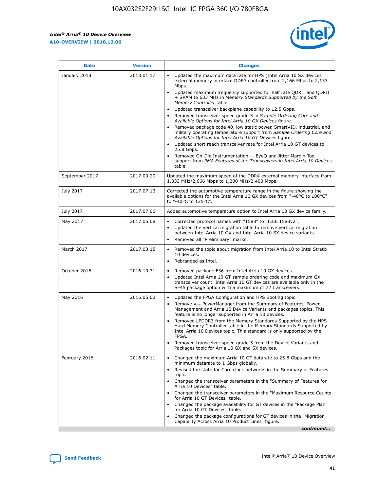F

 $\mathsf{r}$ 



| January 2018<br>Updated the maximum data rate for HPS (Intel Arria 10 SX devices<br>2018.01.17<br>$\bullet$<br>external memory interface DDR3 controller from 2,166 Mbps to 2,133<br>Mbps.<br>Updated maximum frequency supported for half rate QDRII and QDRII<br>$\bullet$<br>+ SRAM to 633 MHz in Memory Standards Supported by the Soft<br>Memory Controller table.<br>Updated transceiver backplane capability to 12.5 Gbps.<br>$\bullet$<br>Removed transceiver speed grade 5 in Sample Ordering Core and<br>٠<br>Available Options for Intel Arria 10 GX Devices figure.<br>Removed package code 40, low static power, SmartVID, industrial, and<br>$\bullet$<br>military operating temperature support from Sample Ordering Core and<br>Available Options for Intel Arria 10 GT Devices figure.<br>Updated short reach transceiver rate for Intel Arria 10 GT devices to<br>$\bullet$<br>25.8 Gbps.<br>Removed On-Die Instrumentation - EyeQ and Jitter Margin Tool<br>support from PMA Features of the Transceivers in Intel Arria 10 Devices<br>table.<br>September 2017<br>2017.09.20<br>Updated the maximum speed of the DDR4 external memory interface from<br>1,333 MHz/2,666 Mbps to 1,200 MHz/2,400 Mbps.<br>July 2017<br>2017.07.13<br>Corrected the automotive temperature range in the figure showing the<br>available options for the Intel Arria 10 GX devices from "-40°C to 100°C"<br>to "-40°C to 125°C".<br>July 2017<br>2017.07.06<br>Added automotive temperature option to Intel Arria 10 GX device family.<br>May 2017<br>2017.05.08<br>Corrected protocol names with "1588" to "IEEE 1588v2".<br>$\bullet$<br>Updated the vertical migration table to remove vertical migration<br>$\bullet$<br>between Intel Arria 10 GX and Intel Arria 10 SX device variants.<br>Removed all "Preliminary" marks.<br>$\bullet$<br>March 2017<br>2017.03.15<br>Removed the topic about migration from Intel Arria 10 to Intel Stratix<br>$\bullet$<br>10 devices.<br>Rebranded as Intel.<br>$\bullet$<br>October 2016<br>2016.10.31<br>Removed package F36 from Intel Arria 10 GX devices.<br>$\bullet$<br>Updated Intel Arria 10 GT sample ordering code and maximum GX<br>$\bullet$<br>transceiver count. Intel Arria 10 GT devices are available only in the<br>SF45 package option with a maximum of 72 transceivers.<br>May 2016<br>2016.05.02<br>Updated the FPGA Configuration and HPS Booting topic.<br>$\bullet$<br>Remove $V_{CC}$ PowerManager from the Summary of Features, Power<br>$\bullet$<br>Management and Arria 10 Device Variants and packages topics. This<br>feature is no longer supported in Arria 10 devices.<br>Removed LPDDR3 from the Memory Standards Supported by the HPS<br>Hard Memory Controller table in the Memory Standards Supported by<br>Intel Arria 10 Devices topic. This standard is only supported by the<br>FPGA.<br>Removed transceiver speed grade 5 from the Device Variants and<br>Packages topic for Arria 10 GX and SX devices.<br>Changed the maximum Arria 10 GT datarate to 25.8 Gbps and the<br>February 2016<br>2016.02.11<br>$\bullet$<br>minimum datarate to 1 Gbps globally.<br>Revised the state for Core clock networks in the Summary of Features<br>$\bullet$<br>topic.<br>• Changed the transceiver parameters in the "Summary of Features for<br>Arria 10 Devices" table.<br>Changed the transceiver parameters in the "Maximum Resource Counts<br>for Arria 10 GT Devices" table.<br>• Changed the package availability for GT devices in the "Package Plan<br>for Arria 10 GT Devices" table.<br>Changed the package configurations for GT devices in the "Migration"<br>Capability Across Arria 10 Product Lines" figure. | <b>Date</b> | <b>Version</b> | <b>Changes</b> |
|--------------------------------------------------------------------------------------------------------------------------------------------------------------------------------------------------------------------------------------------------------------------------------------------------------------------------------------------------------------------------------------------------------------------------------------------------------------------------------------------------------------------------------------------------------------------------------------------------------------------------------------------------------------------------------------------------------------------------------------------------------------------------------------------------------------------------------------------------------------------------------------------------------------------------------------------------------------------------------------------------------------------------------------------------------------------------------------------------------------------------------------------------------------------------------------------------------------------------------------------------------------------------------------------------------------------------------------------------------------------------------------------------------------------------------------------------------------------------------------------------------------------------------------------------------------------------------------------------------------------------------------------------------------------------------------------------------------------------------------------------------------------------------------------------------------------------------------------------------------------------------------------------------------------------------------------------------------------------------------------------------------------------------------------------------------------------------------------------------------------------------------------------------------------------------------------------------------------------------------------------------------------------------------------------------------------------------------------------------------------------------------------------------------------------------------------------------------------------------------------------------------------------------------------------------------------------------------------------------------------------------------------------------------------------------------------------------------------------------------------------------------------------------------------------------------------------------------------------------------------------------------------------------------------------------------------------------------------------------------------------------------------------------------------------------------------------------------------------------------------------------------------------------------------------------------------------------------------------------------------------------------------------------------------------------------------------------------------------------------------------------------------------------------------------------------------------------------------------------------------------------------------------------------------------------------------------------------------------------------------------------------------------------------------------------------------------------------|-------------|----------------|----------------|
|                                                                                                                                                                                                                                                                                                                                                                                                                                                                                                                                                                                                                                                                                                                                                                                                                                                                                                                                                                                                                                                                                                                                                                                                                                                                                                                                                                                                                                                                                                                                                                                                                                                                                                                                                                                                                                                                                                                                                                                                                                                                                                                                                                                                                                                                                                                                                                                                                                                                                                                                                                                                                                                                                                                                                                                                                                                                                                                                                                                                                                                                                                                                                                                                                                                                                                                                                                                                                                                                                                                                                                                                                                                                                                              |             |                |                |
|                                                                                                                                                                                                                                                                                                                                                                                                                                                                                                                                                                                                                                                                                                                                                                                                                                                                                                                                                                                                                                                                                                                                                                                                                                                                                                                                                                                                                                                                                                                                                                                                                                                                                                                                                                                                                                                                                                                                                                                                                                                                                                                                                                                                                                                                                                                                                                                                                                                                                                                                                                                                                                                                                                                                                                                                                                                                                                                                                                                                                                                                                                                                                                                                                                                                                                                                                                                                                                                                                                                                                                                                                                                                                                              |             |                |                |
|                                                                                                                                                                                                                                                                                                                                                                                                                                                                                                                                                                                                                                                                                                                                                                                                                                                                                                                                                                                                                                                                                                                                                                                                                                                                                                                                                                                                                                                                                                                                                                                                                                                                                                                                                                                                                                                                                                                                                                                                                                                                                                                                                                                                                                                                                                                                                                                                                                                                                                                                                                                                                                                                                                                                                                                                                                                                                                                                                                                                                                                                                                                                                                                                                                                                                                                                                                                                                                                                                                                                                                                                                                                                                                              |             |                |                |
|                                                                                                                                                                                                                                                                                                                                                                                                                                                                                                                                                                                                                                                                                                                                                                                                                                                                                                                                                                                                                                                                                                                                                                                                                                                                                                                                                                                                                                                                                                                                                                                                                                                                                                                                                                                                                                                                                                                                                                                                                                                                                                                                                                                                                                                                                                                                                                                                                                                                                                                                                                                                                                                                                                                                                                                                                                                                                                                                                                                                                                                                                                                                                                                                                                                                                                                                                                                                                                                                                                                                                                                                                                                                                                              |             |                |                |
|                                                                                                                                                                                                                                                                                                                                                                                                                                                                                                                                                                                                                                                                                                                                                                                                                                                                                                                                                                                                                                                                                                                                                                                                                                                                                                                                                                                                                                                                                                                                                                                                                                                                                                                                                                                                                                                                                                                                                                                                                                                                                                                                                                                                                                                                                                                                                                                                                                                                                                                                                                                                                                                                                                                                                                                                                                                                                                                                                                                                                                                                                                                                                                                                                                                                                                                                                                                                                                                                                                                                                                                                                                                                                                              |             |                |                |
|                                                                                                                                                                                                                                                                                                                                                                                                                                                                                                                                                                                                                                                                                                                                                                                                                                                                                                                                                                                                                                                                                                                                                                                                                                                                                                                                                                                                                                                                                                                                                                                                                                                                                                                                                                                                                                                                                                                                                                                                                                                                                                                                                                                                                                                                                                                                                                                                                                                                                                                                                                                                                                                                                                                                                                                                                                                                                                                                                                                                                                                                                                                                                                                                                                                                                                                                                                                                                                                                                                                                                                                                                                                                                                              |             |                |                |
|                                                                                                                                                                                                                                                                                                                                                                                                                                                                                                                                                                                                                                                                                                                                                                                                                                                                                                                                                                                                                                                                                                                                                                                                                                                                                                                                                                                                                                                                                                                                                                                                                                                                                                                                                                                                                                                                                                                                                                                                                                                                                                                                                                                                                                                                                                                                                                                                                                                                                                                                                                                                                                                                                                                                                                                                                                                                                                                                                                                                                                                                                                                                                                                                                                                                                                                                                                                                                                                                                                                                                                                                                                                                                                              |             |                |                |
|                                                                                                                                                                                                                                                                                                                                                                                                                                                                                                                                                                                                                                                                                                                                                                                                                                                                                                                                                                                                                                                                                                                                                                                                                                                                                                                                                                                                                                                                                                                                                                                                                                                                                                                                                                                                                                                                                                                                                                                                                                                                                                                                                                                                                                                                                                                                                                                                                                                                                                                                                                                                                                                                                                                                                                                                                                                                                                                                                                                                                                                                                                                                                                                                                                                                                                                                                                                                                                                                                                                                                                                                                                                                                                              |             |                |                |
|                                                                                                                                                                                                                                                                                                                                                                                                                                                                                                                                                                                                                                                                                                                                                                                                                                                                                                                                                                                                                                                                                                                                                                                                                                                                                                                                                                                                                                                                                                                                                                                                                                                                                                                                                                                                                                                                                                                                                                                                                                                                                                                                                                                                                                                                                                                                                                                                                                                                                                                                                                                                                                                                                                                                                                                                                                                                                                                                                                                                                                                                                                                                                                                                                                                                                                                                                                                                                                                                                                                                                                                                                                                                                                              |             |                | continued      |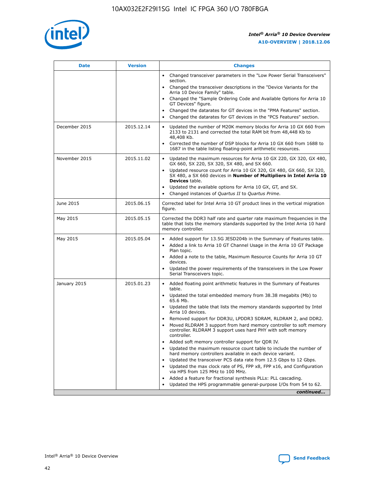

| <b>Date</b>   | <b>Version</b> | <b>Changes</b>                                                                                                                                                               |
|---------------|----------------|------------------------------------------------------------------------------------------------------------------------------------------------------------------------------|
|               |                | • Changed transceiver parameters in the "Low Power Serial Transceivers"<br>section.                                                                                          |
|               |                | Changed the transceiver descriptions in the "Device Variants for the<br>Arria 10 Device Family" table.                                                                       |
|               |                | Changed the "Sample Ordering Code and Available Options for Arria 10<br>GT Devices" figure.                                                                                  |
|               |                | Changed the datarates for GT devices in the "PMA Features" section.                                                                                                          |
|               |                | Changed the datarates for GT devices in the "PCS Features" section.                                                                                                          |
| December 2015 | 2015.12.14     | Updated the number of M20K memory blocks for Arria 10 GX 660 from<br>2133 to 2131 and corrected the total RAM bit from 48,448 Kb to<br>48,408 Kb.                            |
|               |                | Corrected the number of DSP blocks for Arria 10 GX 660 from 1688 to<br>$\bullet$<br>1687 in the table listing floating-point arithmetic resources.                           |
| November 2015 | 2015.11.02     | Updated the maximum resources for Arria 10 GX 220, GX 320, GX 480,<br>GX 660, SX 220, SX 320, SX 480, and SX 660.                                                            |
|               |                | • Updated resource count for Arria 10 GX 320, GX 480, GX 660, SX 320,<br>SX 480, a SX 660 devices in Number of Multipliers in Intel Arria 10<br><b>Devices</b> table.        |
|               |                | Updated the available options for Arria 10 GX, GT, and SX.                                                                                                                   |
|               |                | Changed instances of Quartus II to Quartus Prime.<br>$\bullet$                                                                                                               |
| June 2015     | 2015.06.15     | Corrected label for Intel Arria 10 GT product lines in the vertical migration<br>figure.                                                                                     |
| May 2015      | 2015.05.15     | Corrected the DDR3 half rate and quarter rate maximum frequencies in the<br>table that lists the memory standards supported by the Intel Arria 10 hard<br>memory controller. |
| May 2015      | 2015.05.04     | • Added support for 13.5G JESD204b in the Summary of Features table.<br>Added a link to Arria 10 GT Channel Usage in the Arria 10 GT Package<br>$\bullet$<br>Plan topic.     |
|               |                | • Added a note to the table, Maximum Resource Counts for Arria 10 GT<br>devices.                                                                                             |
|               |                | • Updated the power requirements of the transceivers in the Low Power<br>Serial Transceivers topic.                                                                          |
| January 2015  | 2015.01.23     | • Added floating point arithmetic features in the Summary of Features<br>table.                                                                                              |
|               |                | • Updated the total embedded memory from 38.38 megabits (Mb) to<br>65.6 Mb.                                                                                                  |
|               |                | • Updated the table that lists the memory standards supported by Intel<br>Arria 10 devices.                                                                                  |
|               |                | Removed support for DDR3U, LPDDR3 SDRAM, RLDRAM 2, and DDR2.                                                                                                                 |
|               |                | Moved RLDRAM 3 support from hard memory controller to soft memory<br>controller. RLDRAM 3 support uses hard PHY with soft memory<br>controller.                              |
|               |                | Added soft memory controller support for QDR IV.<br>$\bullet$                                                                                                                |
|               |                | Updated the maximum resource count table to include the number of<br>$\bullet$<br>hard memory controllers available in each device variant.                                  |
|               |                | Updated the transceiver PCS data rate from 12.5 Gbps to 12 Gbps.<br>$\bullet$                                                                                                |
|               |                | Updated the max clock rate of PS, FPP x8, FPP x16, and Configuration<br>via HPS from 125 MHz to 100 MHz.                                                                     |
|               |                | Added a feature for fractional synthesis PLLs: PLL cascading.<br>$\bullet$                                                                                                   |
|               |                | Updated the HPS programmable general-purpose I/Os from 54 to 62.                                                                                                             |
|               |                | continued                                                                                                                                                                    |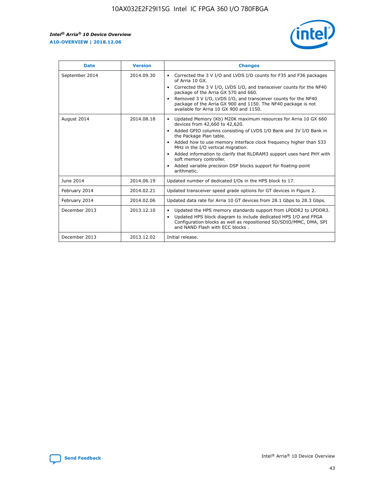

| <b>Date</b>    | <b>Version</b> | <b>Changes</b>                                                                                                                                                                                                                                                                                                                                                                                                                                                                                                                                                   |
|----------------|----------------|------------------------------------------------------------------------------------------------------------------------------------------------------------------------------------------------------------------------------------------------------------------------------------------------------------------------------------------------------------------------------------------------------------------------------------------------------------------------------------------------------------------------------------------------------------------|
| September 2014 | 2014.09.30     | Corrected the 3 V I/O and LVDS I/O counts for F35 and F36 packages<br>$\bullet$<br>of Arria 10 GX.<br>Corrected the 3 V I/O, LVDS I/O, and transceiver counts for the NF40<br>$\bullet$<br>package of the Arria GX 570 and 660.<br>Removed 3 V I/O, LVDS I/O, and transceiver counts for the NF40<br>$\bullet$<br>package of the Arria GX 900 and 1150. The NF40 package is not<br>available for Arria 10 GX 900 and 1150.                                                                                                                                       |
| August 2014    | 2014.08.18     | Updated Memory (Kb) M20K maximum resources for Arria 10 GX 660<br>$\bullet$<br>devices from 42,660 to 42,620.<br>Added GPIO columns consisting of LVDS I/O Bank and 3V I/O Bank in<br>$\bullet$<br>the Package Plan table.<br>Added how to use memory interface clock frequency higher than 533<br>$\bullet$<br>MHz in the I/O vertical migration.<br>Added information to clarify that RLDRAM3 support uses hard PHY with<br>$\bullet$<br>soft memory controller.<br>Added variable precision DSP blocks support for floating-point<br>$\bullet$<br>arithmetic. |
| June 2014      | 2014.06.19     | Updated number of dedicated I/Os in the HPS block to 17.                                                                                                                                                                                                                                                                                                                                                                                                                                                                                                         |
| February 2014  | 2014.02.21     | Updated transceiver speed grade options for GT devices in Figure 2.                                                                                                                                                                                                                                                                                                                                                                                                                                                                                              |
| February 2014  | 2014.02.06     | Updated data rate for Arria 10 GT devices from 28.1 Gbps to 28.3 Gbps.                                                                                                                                                                                                                                                                                                                                                                                                                                                                                           |
| December 2013  | 2013.12.10     | Updated the HPS memory standards support from LPDDR2 to LPDDR3.<br>٠<br>Updated HPS block diagram to include dedicated HPS I/O and FPGA<br>$\bullet$<br>Configuration blocks as well as repositioned SD/SDIO/MMC, DMA, SPI<br>and NAND Flash with ECC blocks.                                                                                                                                                                                                                                                                                                    |
| December 2013  | 2013.12.02     | Initial release.                                                                                                                                                                                                                                                                                                                                                                                                                                                                                                                                                 |